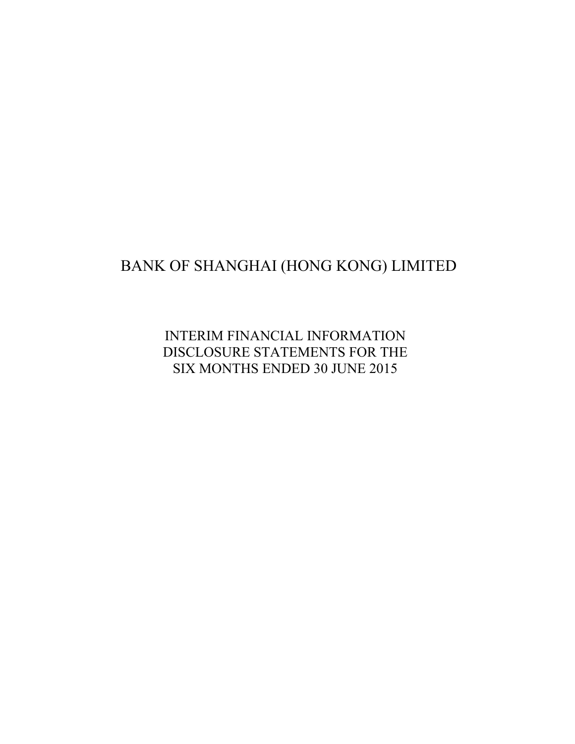# BANK OF SHANGHAI (HONG KONG) LIMITED

INTERIM FINANCIAL INFORMATION DISCLOSURE STATEMENTS FOR THE SIX MONTHS ENDED 30 JUNE 2015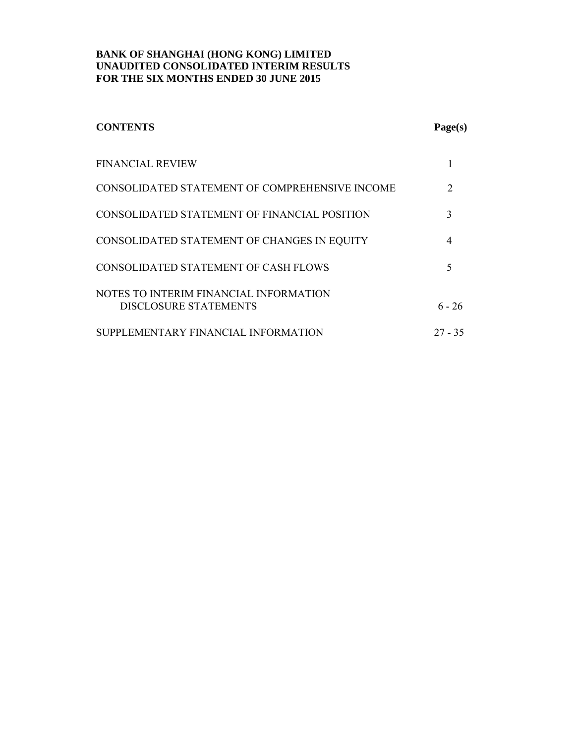| <b>CONTENTS</b>                                                        | Page(s)                     |
|------------------------------------------------------------------------|-----------------------------|
| <b>FINANCIAL REVIEW</b>                                                |                             |
| CONSOLIDATED STATEMENT OF COMPREHENSIVE INCOME                         | $\mathcal{D}_{\mathcal{L}}$ |
| CONSOLIDATED STATEMENT OF FINANCIAL POSITION                           | 3                           |
| CONSOLIDATED STATEMENT OF CHANGES IN EQUITY                            | $\overline{4}$              |
| CONSOLIDATED STATEMENT OF CASH FLOWS                                   | 5                           |
| NOTES TO INTERIM FINANCIAL INFORMATION<br><b>DISCLOSURE STATEMENTS</b> | $6 - 26$                    |
| SUPPLEMENTARY FINANCIAL INFORMATION                                    | $27 - 35$                   |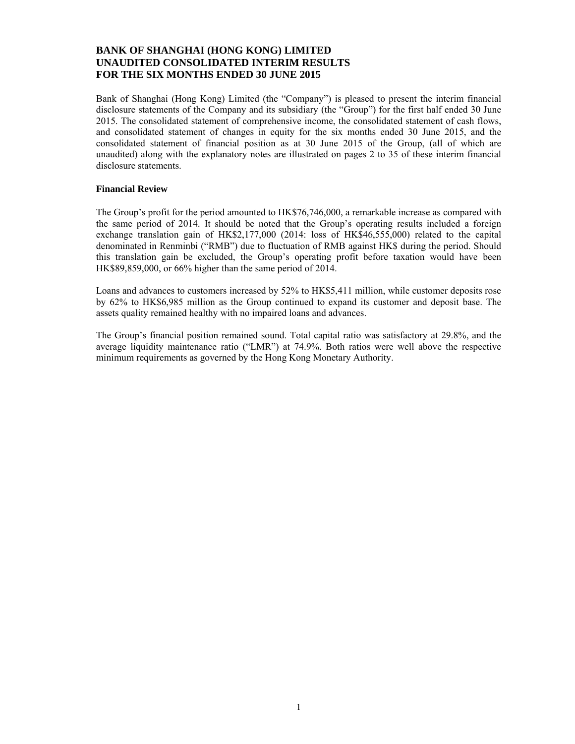Bank of Shanghai (Hong Kong) Limited (the "Company") is pleased to present the interim financial disclosure statements of the Company and its subsidiary (the "Group") for the first half ended 30 June 2015. The consolidated statement of comprehensive income, the consolidated statement of cash flows, and consolidated statement of changes in equity for the six months ended 30 June 2015, and the consolidated statement of financial position as at 30 June 2015 of the Group, (all of which are unaudited) along with the explanatory notes are illustrated on pages 2 to 35 of these interim financial disclosure statements.

#### **Financial Review**

The Group's profit for the period amounted to HK\$76,746,000, a remarkable increase as compared with the same period of 2014. It should be noted that the Group's operating results included a foreign exchange translation gain of HK\$2,177,000 (2014: loss of HK\$46,555,000) related to the capital denominated in Renminbi ("RMB") due to fluctuation of RMB against HK\$ during the period. Should this translation gain be excluded, the Group's operating profit before taxation would have been HK\$89,859,000, or 66% higher than the same period of 2014.

Loans and advances to customers increased by 52% to HK\$5,411 million, while customer deposits rose by 62% to HK\$6,985 million as the Group continued to expand its customer and deposit base. The assets quality remained healthy with no impaired loans and advances.

The Group's financial position remained sound. Total capital ratio was satisfactory at 29.8%, and the average liquidity maintenance ratio ("LMR") at 74.9%. Both ratios were well above the respective minimum requirements as governed by the Hong Kong Monetary Authority.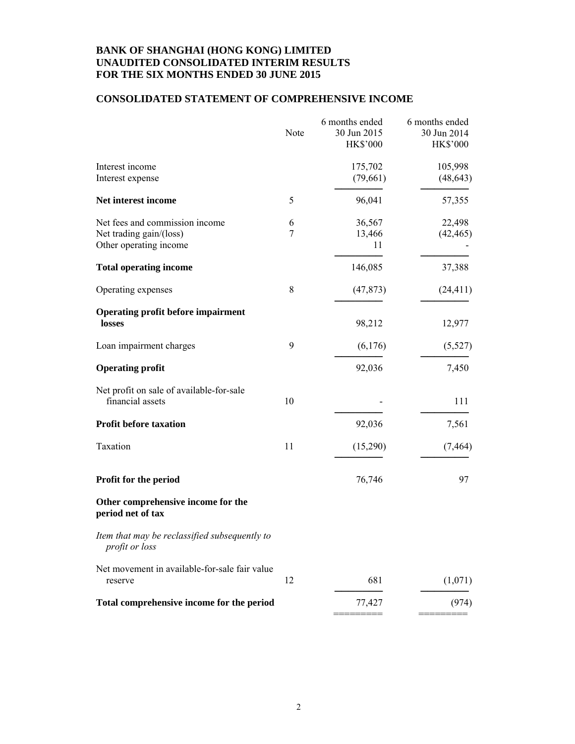### **CONSOLIDATED STATEMENT OF COMPREHENSIVE INCOME**

|                                                                 | Note | 6 months ended<br>30 Jun 2015<br><b>HK\$'000</b> | 6 months ended<br>30 Jun 2014<br><b>HK\$'000</b> |
|-----------------------------------------------------------------|------|--------------------------------------------------|--------------------------------------------------|
| Interest income                                                 |      | 175,702                                          | 105,998                                          |
| Interest expense                                                |      | (79,661)                                         | (48, 643)                                        |
| Net interest income                                             | 5    | 96,041                                           | 57,355                                           |
| Net fees and commission income                                  | 6    | 36,567                                           | 22,498                                           |
| Net trading gain/(loss)<br>Other operating income               | 7    | 13,466<br>11                                     | (42, 465)                                        |
| <b>Total operating income</b>                                   |      | 146,085                                          | 37,388                                           |
| Operating expenses                                              | 8    | (47, 873)                                        | (24, 411)                                        |
| <b>Operating profit before impairment</b>                       |      |                                                  |                                                  |
| losses                                                          |      | 98,212                                           | 12,977                                           |
| Loan impairment charges                                         | 9    | (6,176)                                          | (5,527)                                          |
| <b>Operating profit</b>                                         |      | 92,036                                           | 7,450                                            |
| Net profit on sale of available-for-sale<br>financial assets    | 10   |                                                  | 111                                              |
| <b>Profit before taxation</b>                                   |      | 92,036                                           | 7,561                                            |
| Taxation                                                        | 11   | (15,290)                                         | (7, 464)                                         |
| Profit for the period                                           |      | 76,746                                           | 97                                               |
| Other comprehensive income for the<br>period net of tax         |      |                                                  |                                                  |
| Item that may be reclassified subsequently to<br>profit or loss |      |                                                  |                                                  |
| Net movement in available-for-sale fair value<br>reserve        | 12   | 681                                              | (1,071)                                          |
| Total comprehensive income for the period                       |      | 77,427                                           | (974)                                            |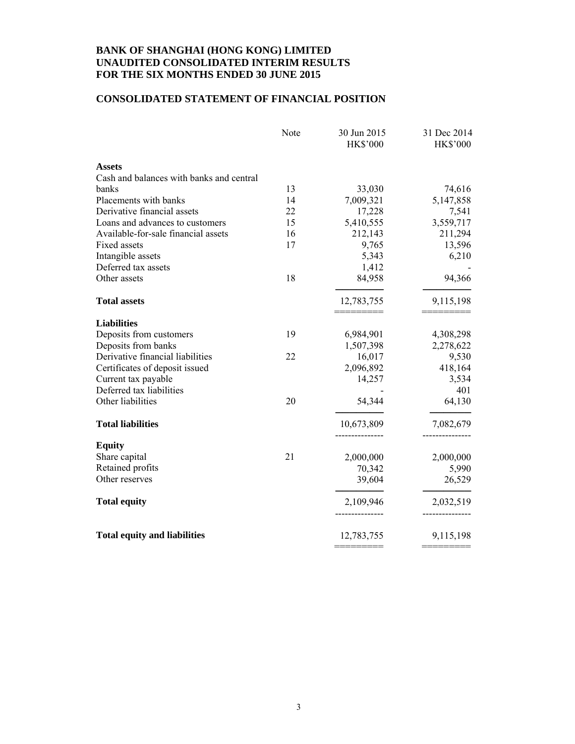### **CONSOLIDATED STATEMENT OF FINANCIAL POSITION**

|    | <b>HK\$'000</b> | <b>HK\$'000</b> |
|----|-----------------|-----------------|
|    |                 |                 |
|    |                 |                 |
|    |                 |                 |
| 13 | 33,030          | 74,616          |
| 14 | 7,009,321       | 5,147,858       |
| 22 | 17,228          | 7,541           |
| 15 | 5,410,555       | 3,559,717       |
| 16 | 212,143         | 211,294         |
| 17 | 9,765           | 13,596          |
|    | 5,343           | 6,210           |
|    | 1,412           |                 |
| 18 | 84,958          | 94,366          |
|    | 12,783,755      | 9,115,198       |
|    |                 |                 |
|    | 6,984,901       | 4,308,298       |
|    | 1,507,398       | 2,278,622       |
| 22 | 16,017          | 9,530           |
|    | 2,096,892       | 418,164         |
|    | 14,257          | 3,534           |
|    |                 | 401             |
| 20 | 54,344          | 64,130          |
|    | 10,673,809      | 7,082,679       |
|    |                 |                 |
| 21 | 2,000,000       | 2,000,000       |
|    | 70,342          | 5,990           |
|    | 39,604          | 26,529          |
|    | 2,109,946       | 2,032,519       |
|    | 12,783,755      | 9,115,198       |
|    | 19              |                 |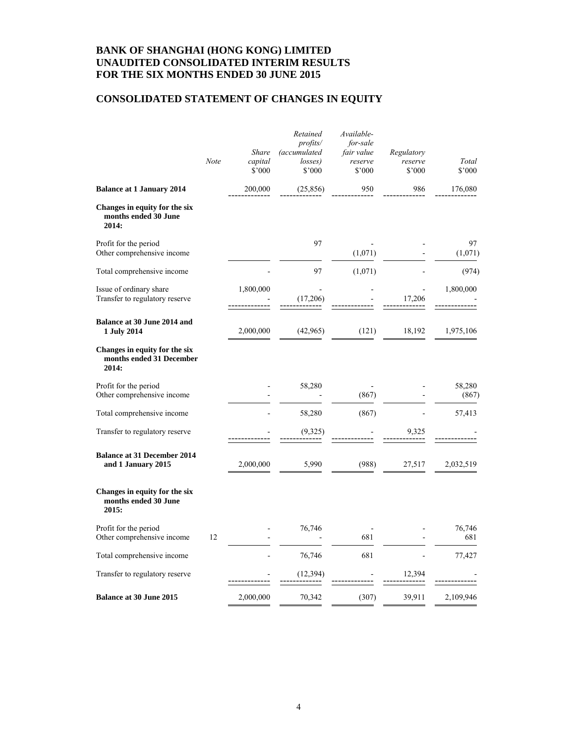## **CONSOLIDATED STATEMENT OF CHANGES IN EQUITY**

|                                                                    | Note | <b>Share</b><br>capital<br>\$'000 | Retained<br>profits/<br><i>(accumulated</i><br>losses)<br>$$^{\circ}000$ | Available-<br>for-sale<br>fair value<br>reserve<br>\$'000 | Regulatory<br>reserve<br>$$^{\circ}000$ | Total<br>\$'000 |
|--------------------------------------------------------------------|------|-----------------------------------|--------------------------------------------------------------------------|-----------------------------------------------------------|-----------------------------------------|-----------------|
| <b>Balance at 1 January 2014</b>                                   |      | 200,000                           | (25, 856)                                                                | 950                                                       | 986                                     | 176,080         |
| Changes in equity for the six<br>months ended 30 June<br>2014:     |      |                                   |                                                                          |                                                           |                                         |                 |
| Profit for the period<br>Other comprehensive income                |      |                                   | 97                                                                       | (1,071)                                                   |                                         | 97<br>(1,071)   |
| Total comprehensive income                                         |      |                                   | 97                                                                       | (1,071)                                                   |                                         | (974)           |
| Issue of ordinary share<br>Transfer to regulatory reserve          |      | 1,800,000                         | (17,206)                                                                 |                                                           | 17,206                                  | 1,800,000       |
| Balance at 30 June 2014 and<br>1 July 2014                         |      | 2,000,000                         | (42,965)                                                                 | (121)                                                     | 18,192                                  | 1,975,106       |
| Changes in equity for the six<br>months ended 31 December<br>2014: |      |                                   |                                                                          |                                                           |                                         |                 |
| Profit for the period<br>Other comprehensive income                |      |                                   | 58,280                                                                   | (867)                                                     |                                         | 58,280<br>(867) |
| Total comprehensive income                                         |      |                                   | 58,280                                                                   | (867)                                                     |                                         | 57,413          |
| Transfer to regulatory reserve                                     |      |                                   | (9,325)                                                                  |                                                           | 9,325                                   |                 |
| <b>Balance at 31 December 2014</b><br>and 1 January 2015           |      | 2,000,000                         | 5,990                                                                    | (988)                                                     | 27,517                                  | 2,032,519       |
| Changes in equity for the six<br>months ended 30 June<br>2015:     |      |                                   |                                                                          |                                                           |                                         |                 |
| Profit for the period<br>Other comprehensive income                | 12   |                                   | 76,746                                                                   | 681                                                       |                                         | 76,746<br>681   |
| Total comprehensive income                                         |      |                                   | 76,746                                                                   | 681                                                       |                                         | 77,427          |
| Transfer to regulatory reserve                                     |      |                                   | (12, 394)                                                                |                                                           | 12,394                                  |                 |
| <b>Balance at 30 June 2015</b>                                     |      | 2,000,000                         | 70,342                                                                   | (307)                                                     | 39,911                                  | 2,109,946       |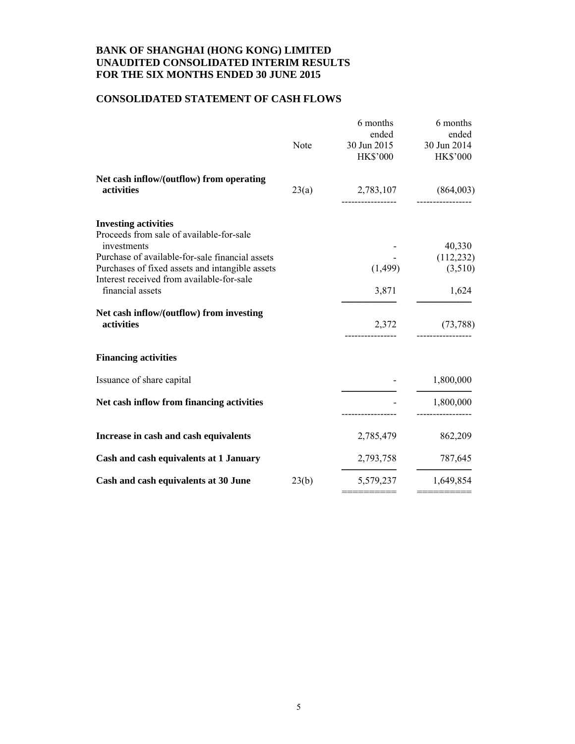### **CONSOLIDATED STATEMENT OF CASH FLOWS**

|                                                               | Note  | 6 months<br>ended<br>30 Jun 2015<br><b>HK\$'000</b> | 6 months<br>ended<br>30 Jun 2014<br><b>HK\$'000</b> |
|---------------------------------------------------------------|-------|-----------------------------------------------------|-----------------------------------------------------|
| Net cash inflow/(outflow) from operating<br>activities        | 23(a) | 2,783,107                                           | (864,003)                                           |
| <b>Investing activities</b>                                   |       |                                                     |                                                     |
| Proceeds from sale of available-for-sale<br>investments       |       |                                                     | 40,330                                              |
| Purchase of available-for-sale financial assets               |       |                                                     | (112, 232)                                          |
| Purchases of fixed assets and intangible assets               |       | (1, 499)                                            | (3,510)                                             |
| Interest received from available-for-sale<br>financial assets |       | 3,871                                               | 1,624                                               |
| Net cash inflow/(outflow) from investing<br>activities        |       | 2,372                                               | (73, 788)                                           |
| <b>Financing activities</b>                                   |       |                                                     |                                                     |
| Issuance of share capital                                     |       |                                                     | 1,800,000                                           |
| Net cash inflow from financing activities                     |       |                                                     | 1,800,000                                           |
| Increase in cash and cash equivalents                         |       | 2,785,479                                           | 862,209                                             |
| Cash and cash equivalents at 1 January                        |       | 2,793,758                                           | 787,645                                             |
| Cash and cash equivalents at 30 June                          | 23(b) | 5,579,237                                           | 1,649,854                                           |
|                                                               |       |                                                     |                                                     |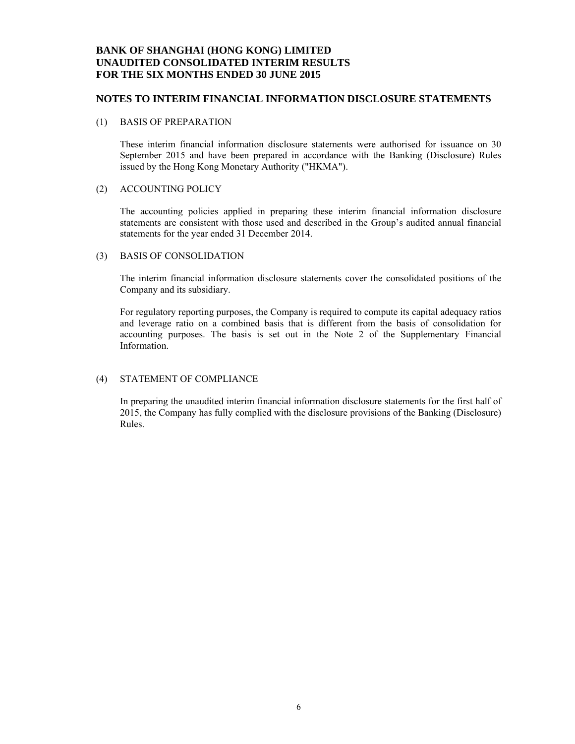#### **NOTES TO INTERIM FINANCIAL INFORMATION DISCLOSURE STATEMENTS**

#### (1) BASIS OF PREPARATION

These interim financial information disclosure statements were authorised for issuance on 30 September 2015 and have been prepared in accordance with the Banking (Disclosure) Rules issued by the Hong Kong Monetary Authority ("HKMA").

#### (2) ACCOUNTING POLICY

The accounting policies applied in preparing these interim financial information disclosure statements are consistent with those used and described in the Group's audited annual financial statements for the year ended 31 December 2014.

#### (3) BASIS OF CONSOLIDATION

The interim financial information disclosure statements cover the consolidated positions of the Company and its subsidiary.

For regulatory reporting purposes, the Company is required to compute its capital adequacy ratios and leverage ratio on a combined basis that is different from the basis of consolidation for accounting purposes. The basis is set out in the Note 2 of the Supplementary Financial Information.

#### (4) STATEMENT OF COMPLIANCE

In preparing the unaudited interim financial information disclosure statements for the first half of 2015, the Company has fully complied with the disclosure provisions of the Banking (Disclosure) Rules.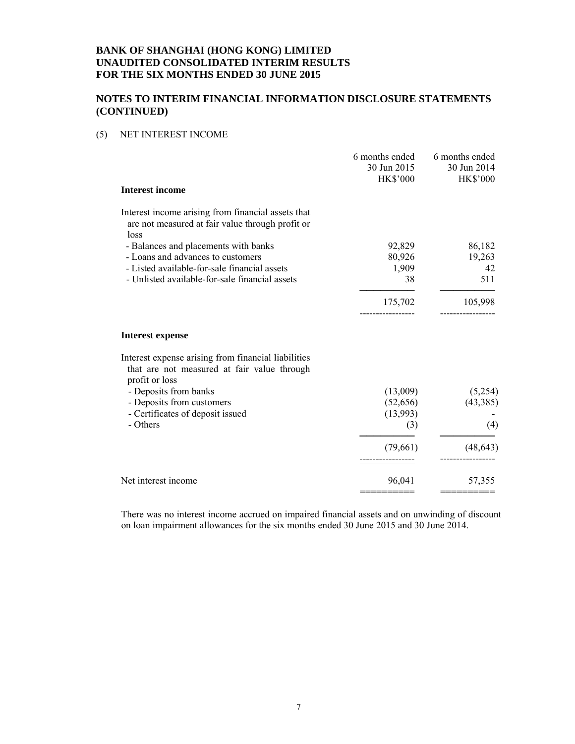### **NOTES TO INTERIM FINANCIAL INFORMATION DISCLOSURE STATEMENTS (CONTINUED)**

#### (5) NET INTEREST INCOME

|                                                                                                                      | 6 months ended<br>30 Jun 2015<br><b>HK\$'000</b> | 6 months ended<br>30 Jun 2014<br><b>HK\$'000</b> |
|----------------------------------------------------------------------------------------------------------------------|--------------------------------------------------|--------------------------------------------------|
| <b>Interest income</b>                                                                                               |                                                  |                                                  |
| Interest income arising from financial assets that<br>are not measured at fair value through profit or<br>loss       |                                                  |                                                  |
| - Balances and placements with banks                                                                                 | 92,829                                           | 86,182                                           |
| - Loans and advances to customers                                                                                    | 80,926                                           | 19,263                                           |
| - Listed available-for-sale financial assets                                                                         | 1,909                                            | 42                                               |
| - Unlisted available-for-sale financial assets                                                                       | 38                                               | 511                                              |
|                                                                                                                      | 175,702                                          | 105,998                                          |
|                                                                                                                      |                                                  |                                                  |
| <b>Interest expense</b>                                                                                              |                                                  |                                                  |
| Interest expense arising from financial liabilities<br>that are not measured at fair value through<br>profit or loss |                                                  |                                                  |
| - Deposits from banks                                                                                                | (13,009)                                         | (5,254)                                          |
| - Deposits from customers                                                                                            | (52, 656)                                        | (43, 385)                                        |
| - Certificates of deposit issued                                                                                     | (13,993)                                         |                                                  |
| - Others                                                                                                             | (3)                                              | (4)                                              |
|                                                                                                                      | (79,661)                                         | (48, 643)                                        |
| Net interest income                                                                                                  | 96,041                                           | 57,355                                           |
|                                                                                                                      |                                                  |                                                  |

There was no interest income accrued on impaired financial assets and on unwinding of discount on loan impairment allowances for the six months ended 30 June 2015 and 30 June 2014.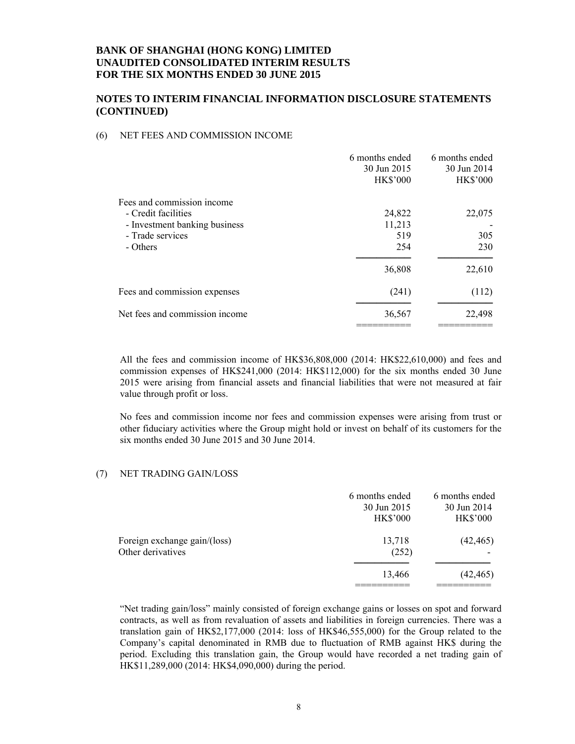#### **NOTES TO INTERIM FINANCIAL INFORMATION DISCLOSURE STATEMENTS (CONTINUED)**

#### (6) NET FEES AND COMMISSION INCOME

|                                                   | 6 months ended<br>30 Jun 2015<br><b>HK\$'000</b> | 6 months ended<br>30 Jun 2014<br><b>HK\$'000</b> |
|---------------------------------------------------|--------------------------------------------------|--------------------------------------------------|
| Fees and commission income<br>- Credit facilities |                                                  | 22,075                                           |
| - Investment banking business                     | 24,822<br>11,213                                 |                                                  |
| - Trade services                                  | 519                                              | 305                                              |
| - Others                                          | 254                                              | 230                                              |
|                                                   | 36,808                                           | 22,610                                           |
| Fees and commission expenses                      | (241)                                            | (112)                                            |
| Net fees and commission income                    | 36,567                                           | 22,498                                           |

All the fees and commission income of HK\$36,808,000 (2014: HK\$22,610,000) and fees and commission expenses of HK\$241,000 (2014: HK\$112,000) for the six months ended 30 June 2015 were arising from financial assets and financial liabilities that were not measured at fair value through profit or loss.

No fees and commission income nor fees and commission expenses were arising from trust or other fiduciary activities where the Group might hold or invest on behalf of its customers for the six months ended 30 June 2015 and 30 June 2014.

#### (7) NET TRADING GAIN/LOSS

|                                                   | 6 months ended<br>30 Jun 2015<br><b>HK\$'000</b> | 6 months ended<br>30 Jun 2014<br><b>HK\$'000</b> |
|---------------------------------------------------|--------------------------------------------------|--------------------------------------------------|
| Foreign exchange gain/(loss)<br>Other derivatives | 13,718<br>(252)                                  | (42, 465)                                        |
|                                                   | 13,466                                           | (42, 465)                                        |

"Net trading gain/loss" mainly consisted of foreign exchange gains or losses on spot and forward contracts, as well as from revaluation of assets and liabilities in foreign currencies. There was a translation gain of HK\$2,177,000 (2014: loss of HK\$46,555,000) for the Group related to the Company's capital denominated in RMB due to fluctuation of RMB against HK\$ during the period. Excluding this translation gain, the Group would have recorded a net trading gain of HK\$11,289,000 (2014: HK\$4,090,000) during the period.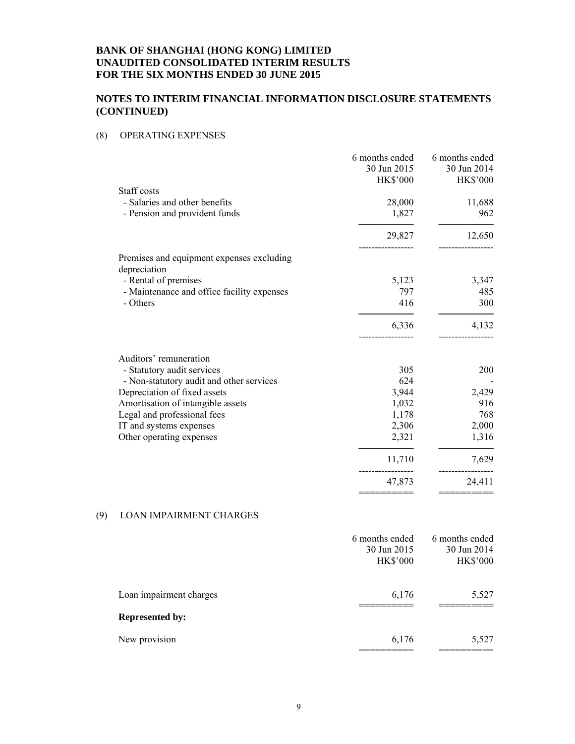### **NOTES TO INTERIM FINANCIAL INFORMATION DISCLOSURE STATEMENTS (CONTINUED)**

### (8) OPERATING EXPENSES

|     |                                                                                                                                                                                                                                                             | 6 months ended<br>30 Jun 2015<br><b>HK\$'000</b>                            | 6 months ended<br>30 Jun 2014<br><b>HK\$'000</b>                |
|-----|-------------------------------------------------------------------------------------------------------------------------------------------------------------------------------------------------------------------------------------------------------------|-----------------------------------------------------------------------------|-----------------------------------------------------------------|
|     | Staff costs                                                                                                                                                                                                                                                 |                                                                             |                                                                 |
|     | - Salaries and other benefits                                                                                                                                                                                                                               | 28,000                                                                      | 11,688                                                          |
|     | - Pension and provident funds                                                                                                                                                                                                                               | 1,827                                                                       | 962                                                             |
|     |                                                                                                                                                                                                                                                             | 29,827                                                                      | 12,650                                                          |
|     | Premises and equipment expenses excluding<br>depreciation                                                                                                                                                                                                   |                                                                             |                                                                 |
|     | - Rental of premises                                                                                                                                                                                                                                        | 5,123                                                                       | 3,347                                                           |
|     | - Maintenance and office facility expenses                                                                                                                                                                                                                  | 797                                                                         | 485                                                             |
|     | - Others                                                                                                                                                                                                                                                    | 416                                                                         | 300                                                             |
|     |                                                                                                                                                                                                                                                             | 6,336                                                                       | 4,132                                                           |
|     | Auditors' remuneration<br>- Statutory audit services<br>- Non-statutory audit and other services<br>Depreciation of fixed assets<br>Amortisation of intangible assets<br>Legal and professional fees<br>IT and systems expenses<br>Other operating expenses | 305<br>624<br>3,944<br>1,032<br>1,178<br>2,306<br>2,321<br>11,710<br>47,873 | 200<br>2,429<br>916<br>768<br>2,000<br>1,316<br>7,629<br>24,411 |
|     |                                                                                                                                                                                                                                                             |                                                                             |                                                                 |
| (9) | <b>LOAN IMPAIRMENT CHARGES</b>                                                                                                                                                                                                                              |                                                                             |                                                                 |
|     |                                                                                                                                                                                                                                                             | 6 months ended<br>30 Jun 2015                                               | 6 months ended<br>30 Jun 2014                                   |

| 30 Jun 2015<br><b>HK\$'000</b> | 30 Jun 2014<br><b>HK\$'000</b> |
|--------------------------------|--------------------------------|
| 6,176                          | 5,527                          |
|                                |                                |
| 6,176                          | 5,527                          |
|                                |                                |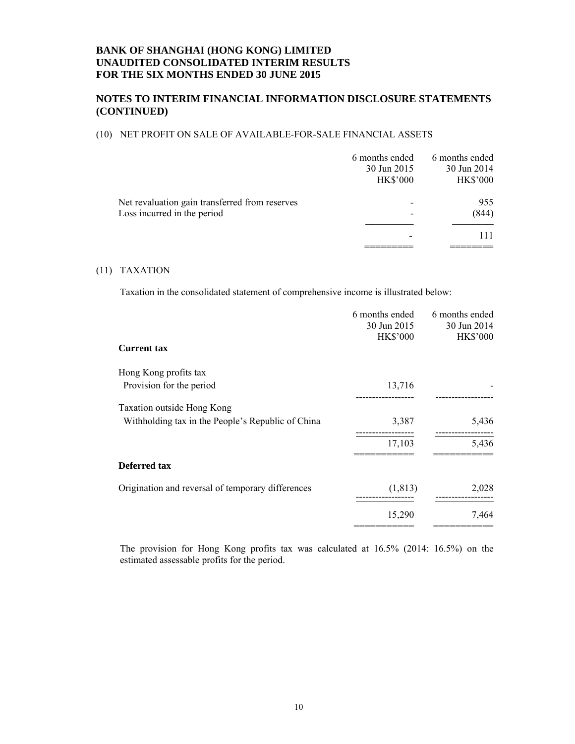### **NOTES TO INTERIM FINANCIAL INFORMATION DISCLOSURE STATEMENTS (CONTINUED)**

#### (10) NET PROFIT ON SALE OF AVAILABLE-FOR-SALE FINANCIAL ASSETS

|                                                                               | 6 months ended<br>30 Jun 2015<br><b>HK\$'000</b> | 6 months ended<br>30 Jun 2014<br><b>HK\$'000</b> |
|-------------------------------------------------------------------------------|--------------------------------------------------|--------------------------------------------------|
| Net revaluation gain transferred from reserves<br>Loss incurred in the period |                                                  | 955<br>(844)                                     |
|                                                                               |                                                  | 111                                              |

#### (11) TAXATION

Taxation in the consolidated statement of comprehensive income is illustrated below:

|                                                   | 6 months ended<br>30 Jun 2015 | 6 months ended<br>30 Jun 2014 |
|---------------------------------------------------|-------------------------------|-------------------------------|
|                                                   | <b>HK\$'000</b>               | <b>HK\$'000</b>               |
| <b>Current tax</b>                                |                               |                               |
| Hong Kong profits tax                             |                               |                               |
| Provision for the period                          | 13,716                        |                               |
| Taxation outside Hong Kong                        |                               |                               |
| Withholding tax in the People's Republic of China | 3,387                         | 5,436                         |
|                                                   | 17,103                        | 5,436                         |
| Deferred tax                                      |                               |                               |
| Origination and reversal of temporary differences | (1, 813)                      | 2,028                         |
|                                                   | 15,290                        | 7,464                         |
|                                                   |                               |                               |

The provision for Hong Kong profits tax was calculated at 16.5% (2014: 16.5%) on the estimated assessable profits for the period.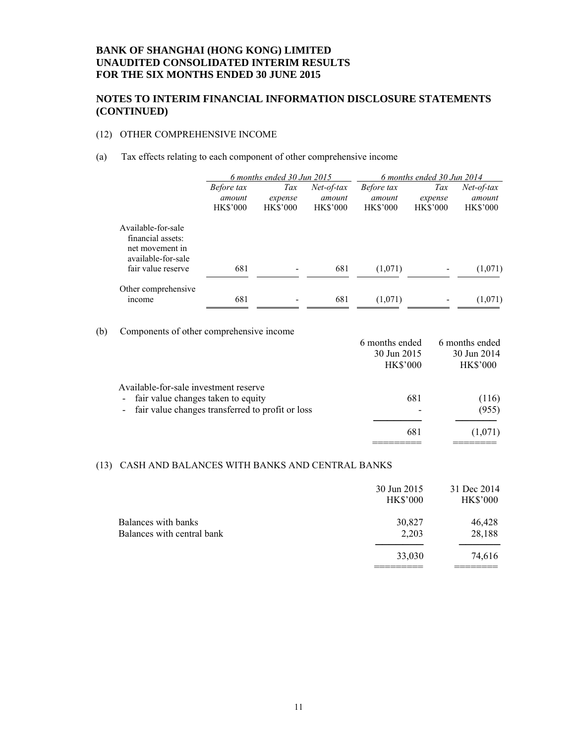### **NOTES TO INTERIM FINANCIAL INFORMATION DISCLOSURE STATEMENTS (CONTINUED)**

#### (12) OTHER COMPREHENSIVE INCOME

#### (a) Tax effects relating to each component of other comprehensive income

|                                                                                  | 6 months ended 30 Jun 2015                     |                                   |                                           | 6 months ended 30 Jun 2014                     |                                   |                                           |
|----------------------------------------------------------------------------------|------------------------------------------------|-----------------------------------|-------------------------------------------|------------------------------------------------|-----------------------------------|-------------------------------------------|
|                                                                                  | <i>Before tax</i><br>amount<br><b>HK\$'000</b> | Tax<br>expense<br><b>HK\$'000</b> | $Net-of-tax$<br>amount<br><b>HK\$'000</b> | <i>Before tax</i><br>amount<br><b>HK\$'000</b> | Tax<br>expense<br><b>HK\$'000</b> | $Net-of-tax$<br>amount<br><b>HK\$'000</b> |
| Available-for-sale<br>financial assets:<br>net movement in<br>available-for-sale |                                                |                                   |                                           |                                                |                                   |                                           |
| fair value reserve                                                               | 681                                            |                                   | 681                                       | (1,071)                                        |                                   | (1,071)                                   |
| Other comprehensive<br>income                                                    | 681                                            |                                   | 681                                       | (1,071)                                        |                                   | (1,071)                                   |

(b) Components of other comprehensive income

|                                                    | 6 months ended  | 6 months ended  |
|----------------------------------------------------|-----------------|-----------------|
|                                                    | 30 Jun 2015     | 30 Jun 2014     |
|                                                    | <b>HK\$'000</b> | <b>HK\$'000</b> |
| Available-for-sale investment reserve              |                 |                 |
| - fair value changes taken to equity               | 681             | (116)           |
| - fair value changes transferred to profit or loss |                 | (955)           |
|                                                    |                 |                 |
|                                                    | 681             | (1,071)         |
|                                                    |                 |                 |

### (13) CASH AND BALANCES WITH BANKS AND CENTRAL BANKS

|                                                   | 30 Jun 2015<br><b>HK\$'000</b> | 31 Dec 2014<br><b>HK\$'000</b> |
|---------------------------------------------------|--------------------------------|--------------------------------|
| Balances with banks<br>Balances with central bank | 30,827<br>2,203                | 46,428<br>28,188               |
|                                                   | 33,030                         | 74,616                         |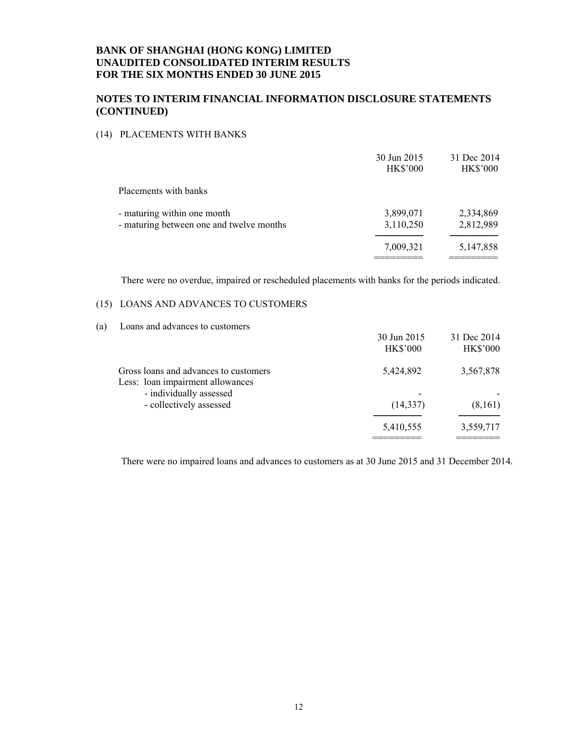### **NOTES TO INTERIM FINANCIAL INFORMATION DISCLOSURE STATEMENTS (CONTINUED)**

#### (14) PLACEMENTS WITH BANKS

|                                                                         | 30 Jun 2015<br><b>HK\$'000</b> | 31 Dec 2014<br><b>HK\$'000</b> |
|-------------------------------------------------------------------------|--------------------------------|--------------------------------|
| Placements with banks                                                   |                                |                                |
| - maturing within one month<br>- maturing between one and twelve months | 3,899,071<br>3,110,250         | 2,334,869<br>2,812,989         |
|                                                                         | 7,009,321                      | 5,147,858                      |
|                                                                         |                                |                                |

There were no overdue, impaired or rescheduled placements with banks for the periods indicated.

#### (15) LOANS AND ADVANCES TO CUSTOMERS

#### (a) Loans and advances to customers

|                                       | 30 Jun 2015     | 31 Dec 2014     |
|---------------------------------------|-----------------|-----------------|
|                                       | <b>HK\$'000</b> | <b>HK\$'000</b> |
| Gross loans and advances to customers | 5,424,892       | 3,567,878       |
| Less: loan impairment allowances      |                 |                 |
| - individually assessed               |                 |                 |
| - collectively assessed               | (14, 337)       | (8,161)         |
|                                       | 5,410,555       | 3,559,717       |
|                                       |                 |                 |

There were no impaired loans and advances to customers as at 30 June 2015 and 31 December 2014.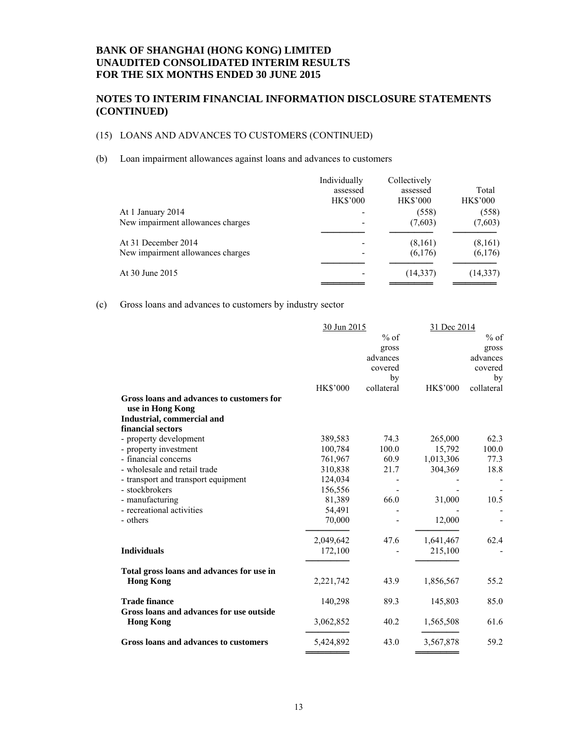### **NOTES TO INTERIM FINANCIAL INFORMATION DISCLOSURE STATEMENTS (CONTINUED)**

### (15) LOANS AND ADVANCES TO CUSTOMERS (CONTINUED)

#### (b) Loan impairment allowances against loans and advances to customers

|                                   | Individually    | Collectively    |                 |
|-----------------------------------|-----------------|-----------------|-----------------|
|                                   | assessed        | assessed        | Total           |
|                                   | <b>HK\$'000</b> | <b>HK\$'000</b> | <b>HK\$'000</b> |
| At 1 January 2014                 |                 | (558)           | (558)           |
| New impairment allowances charges |                 | (7,603)         | (7,603)         |
| At 31 December 2014               |                 | (8,161)         | (8,161)         |
| New impairment allowances charges |                 | (6,176)         | (6,176)         |
| At 30 June 2015                   |                 | (14, 337)       | (14, 337)       |
|                                   |                 |                 |                 |

#### (c) Gross loans and advances to customers by industry sector

|                                                              |                 | 30 Jun 2015 |                 | 31 Dec 2014 |  |
|--------------------------------------------------------------|-----------------|-------------|-----------------|-------------|--|
|                                                              |                 | $%$ of      |                 | $%$ of      |  |
|                                                              |                 | gross       |                 | gross       |  |
|                                                              |                 | advances    |                 | advances    |  |
|                                                              |                 | covered     |                 | covered     |  |
|                                                              |                 | by          |                 | by          |  |
|                                                              | <b>HK\$'000</b> | collateral  | <b>HK\$'000</b> | collateral  |  |
| Gross loans and advances to customers for                    |                 |             |                 |             |  |
| use in Hong Kong                                             |                 |             |                 |             |  |
| Industrial, commercial and                                   |                 |             |                 |             |  |
| financial sectors                                            |                 |             |                 |             |  |
| - property development                                       | 389,583         | 74.3        | 265,000         | 62.3        |  |
| - property investment                                        | 100,784         | 100.0       | 15,792          | 100.0       |  |
| - financial concerns                                         | 761,967         | 60.9        | 1,013,306       | 77.3        |  |
| - wholesale and retail trade                                 | 310,838         | 21.7        | 304,369         | 18.8        |  |
| - transport and transport equipment                          | 124,034         |             |                 |             |  |
| - stockbrokers                                               | 156,556         |             |                 |             |  |
| - manufacturing                                              | 81,389          | 66.0        | 31,000          | 10.5        |  |
| - recreational activities                                    | 54,491          |             |                 |             |  |
| - others                                                     | 70,000          |             | 12,000          |             |  |
|                                                              | 2,049,642       | 47.6        | 1,641,467       | 62.4        |  |
| <b>Individuals</b>                                           | 172,100         |             | 215,100         |             |  |
| Total gross loans and advances for use in                    |                 |             |                 |             |  |
| <b>Hong Kong</b>                                             | 2,221,742       | 43.9        | 1,856,567       | 55.2        |  |
| <b>Trade finance</b>                                         | 140,298         | 89.3        | 145,803         | 85.0        |  |
| Gross loans and advances for use outside<br><b>Hong Kong</b> | 3,062,852       | 40.2        | 1,565,508       | 61.6        |  |
| Gross loans and advances to customers                        | 5,424,892       | 43.0        | 3,567,878       | 59.2        |  |
|                                                              |                 |             |                 |             |  |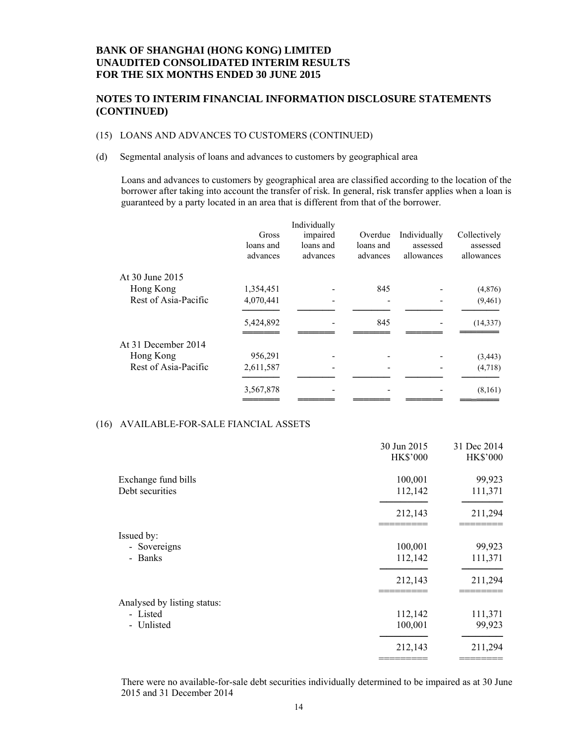### **NOTES TO INTERIM FINANCIAL INFORMATION DISCLOSURE STATEMENTS (CONTINUED)**

#### (15) LOANS AND ADVANCES TO CUSTOMERS (CONTINUED)

#### (d) Segmental analysis of loans and advances to customers by geographical area

Loans and advances to customers by geographical area are classified according to the location of the borrower after taking into account the transfer of risk. In general, risk transfer applies when a loan is guaranteed by a party located in an area that is different from that of the borrower.

|                      | Gross<br>loans and<br>advances | Individually<br>impaired<br>loans and<br>advances | Overdue<br>loans and<br>advances | Individually<br>assessed<br>allowances | Collectively<br>assessed<br>allowances |
|----------------------|--------------------------------|---------------------------------------------------|----------------------------------|----------------------------------------|----------------------------------------|
| At 30 June 2015      |                                |                                                   |                                  |                                        |                                        |
| Hong Kong            | 1,354,451                      |                                                   | 845                              |                                        | (4, 876)                               |
| Rest of Asia-Pacific | 4,070,441                      |                                                   |                                  |                                        | (9,461)                                |
|                      | 5,424,892                      |                                                   | 845                              |                                        | (14, 337)                              |
| At 31 December 2014  |                                |                                                   |                                  |                                        |                                        |
| Hong Kong            | 956,291                        |                                                   |                                  |                                        | (3, 443)                               |
| Rest of Asia-Pacific | 2,611,587                      |                                                   |                                  |                                        | (4,718)                                |
|                      | 3,567,878                      |                                                   |                                  |                                        | (8,161)                                |
|                      |                                |                                                   |                                  |                                        |                                        |

#### (16) AVAILABLE-FOR-SALE FIANCIAL ASSETS

|                             | 30 Jun 2015     | 31 Dec 2014     |
|-----------------------------|-----------------|-----------------|
|                             | <b>HK\$'000</b> | <b>HK\$'000</b> |
| Exchange fund bills         | 100,001         | 99,923          |
| Debt securities             | 112,142         | 111,371         |
|                             | 212,143         | 211,294         |
| Issued by:                  |                 |                 |
| - Sovereigns                | 100,001         | 99,923          |
| - Banks                     | 112,142         | 111,371         |
|                             | 212,143         | 211,294         |
| Analysed by listing status: |                 |                 |
| - Listed                    | 112,142         | 111,371         |
| - Unlisted                  | 100,001         | 99,923          |
|                             | 212,143         | 211,294         |
|                             |                 |                 |

There were no available-for-sale debt securities individually determined to be impaired as at 30 June 2015 and 31 December 2014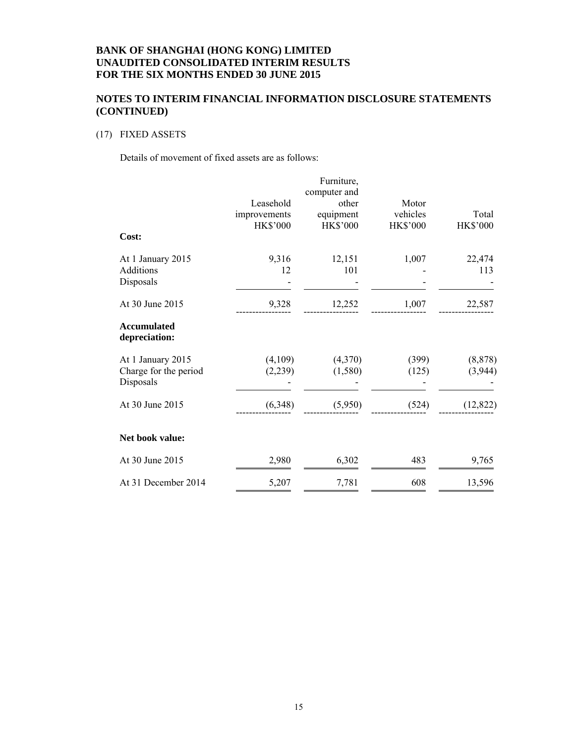### **NOTES TO INTERIM FINANCIAL INFORMATION DISCLOSURE STATEMENTS (CONTINUED)**

#### (17) FIXED ASSETS

Details of movement of fixed assets are as follows:

|                                                         | Furniture,<br>computer and                   |                                       |                                      |                          |  |  |
|---------------------------------------------------------|----------------------------------------------|---------------------------------------|--------------------------------------|--------------------------|--|--|
|                                                         | Leasehold<br>improvements<br><b>HK\$'000</b> | other<br>equipment<br><b>HK\$'000</b> | Motor<br>vehicles<br><b>HK\$'000</b> | Total<br><b>HK\$'000</b> |  |  |
| Cost:                                                   |                                              |                                       |                                      |                          |  |  |
| At 1 January 2015<br>Additions<br>Disposals             | 9,316<br>12                                  | 12,151<br>101                         | 1,007                                | 22,474<br>113            |  |  |
| At 30 June 2015                                         | 9,328                                        | 12,252                                | 1,007                                | 22,587                   |  |  |
| <b>Accumulated</b><br>depreciation:                     |                                              |                                       |                                      |                          |  |  |
| At 1 January 2015<br>Charge for the period<br>Disposals | (4,109)<br>(2,239)                           | (4,370)<br>(1,580)                    | (399)<br>(125)                       | (8, 878)<br>(3,944)      |  |  |
| At 30 June 2015                                         | (6,348)                                      | (5,950)                               | (524)                                | (12, 822)                |  |  |
| Net book value:                                         |                                              |                                       |                                      |                          |  |  |
| At 30 June 2015                                         | 2,980                                        | 6,302                                 | 483                                  | 9,765                    |  |  |
| At 31 December 2014                                     | 5,207                                        | 7,781                                 | 608                                  | 13,596                   |  |  |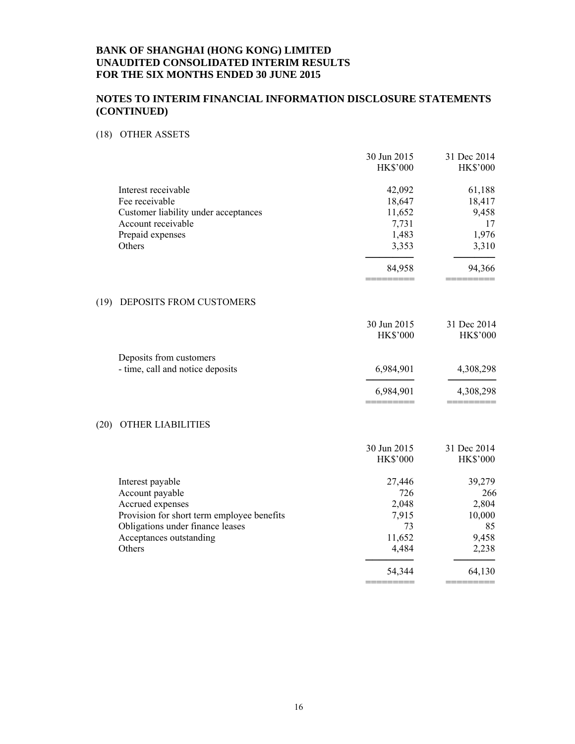### **NOTES TO INTERIM FINANCIAL INFORMATION DISCLOSURE STATEMENTS (CONTINUED)**

#### (18) OTHER ASSETS

|                                            | 30 Jun 2015<br><b>HK\$'000</b> | 31 Dec 2014<br><b>HK\$'000</b> |
|--------------------------------------------|--------------------------------|--------------------------------|
| Interest receivable                        | 42,092                         | 61,188                         |
| Fee receivable                             | 18,647                         | 18,417                         |
| Customer liability under acceptances       | 11,652                         | 9,458                          |
| Account receivable                         | 7,731                          | 17                             |
| Prepaid expenses<br>Others                 | 1,483                          | 1,976                          |
|                                            | 3,353                          | 3,310                          |
|                                            | 84,958                         | 94,366                         |
| DEPOSITS FROM CUSTOMERS                    |                                |                                |
| (19)                                       |                                |                                |
|                                            | 30 Jun 2015                    | 31 Dec 2014                    |
|                                            | HK\$'000                       | <b>HK\$'000</b>                |
| Deposits from customers                    |                                |                                |
| - time, call and notice deposits           | 6,984,901                      | 4,308,298                      |
|                                            | 6,984,901                      | 4,308,298                      |
|                                            |                                |                                |
| (20)<br><b>OTHER LIABILITIES</b>           |                                |                                |
|                                            | 30 Jun 2015                    | 31 Dec 2014                    |
|                                            | <b>HK\$'000</b>                | <b>HK\$'000</b>                |
| Interest payable                           | 27,446                         | 39,279                         |
| Account payable                            | 726                            | 266                            |
| Accrued expenses                           | 2,048                          | 2,804                          |
| Provision for short term employee benefits | 7,915                          | 10,000                         |
| Obligations under finance leases           | 73                             | 85                             |
| Acceptances outstanding                    | 11,652                         | 9,458                          |
| Others                                     | 4,484                          | 2,238                          |
|                                            | 54,344                         | 64,130                         |
|                                            |                                |                                |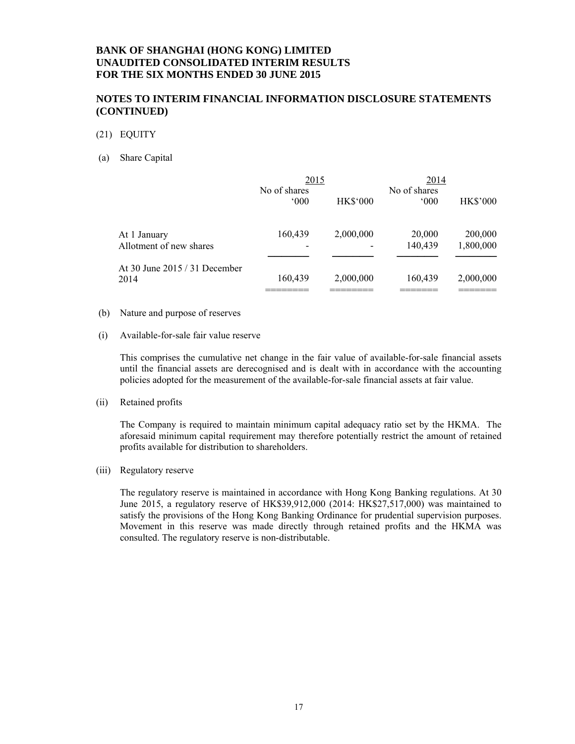#### **NOTES TO INTERIM FINANCIAL INFORMATION DISCLOSURE STATEMENTS (CONTINUED)**

#### (21) EQUITY

(a) Share Capital

|                                         | 2015                          |                 | 2014                          |                      |
|-----------------------------------------|-------------------------------|-----------------|-------------------------------|----------------------|
|                                         | No of shares<br>$000^{\circ}$ | <b>HK\$'000</b> | No of shares<br>$000^{\circ}$ | <b>HK\$'000</b>      |
| At 1 January<br>Allotment of new shares | 160,439                       | 2,000,000       | 20,000<br>140,439             | 200,000<br>1,800,000 |
| At 30 June 2015 / 31 December           |                               |                 |                               |                      |
| 2014                                    | 160,439                       | 2,000,000       | 160,439                       | 2,000,000            |

- (b) Nature and purpose of reserves
- (i) Available-for-sale fair value reserve

This comprises the cumulative net change in the fair value of available-for-sale financial assets until the financial assets are derecognised and is dealt with in accordance with the accounting policies adopted for the measurement of the available-for-sale financial assets at fair value.

(ii) Retained profits

The Company is required to maintain minimum capital adequacy ratio set by the HKMA. The aforesaid minimum capital requirement may therefore potentially restrict the amount of retained profits available for distribution to shareholders.

(iii) Regulatory reserve

The regulatory reserve is maintained in accordance with Hong Kong Banking regulations. At 30 June 2015, a regulatory reserve of HK\$39,912,000 (2014: HK\$27,517,000) was maintained to satisfy the provisions of the Hong Kong Banking Ordinance for prudential supervision purposes. Movement in this reserve was made directly through retained profits and the HKMA was consulted. The regulatory reserve is non-distributable.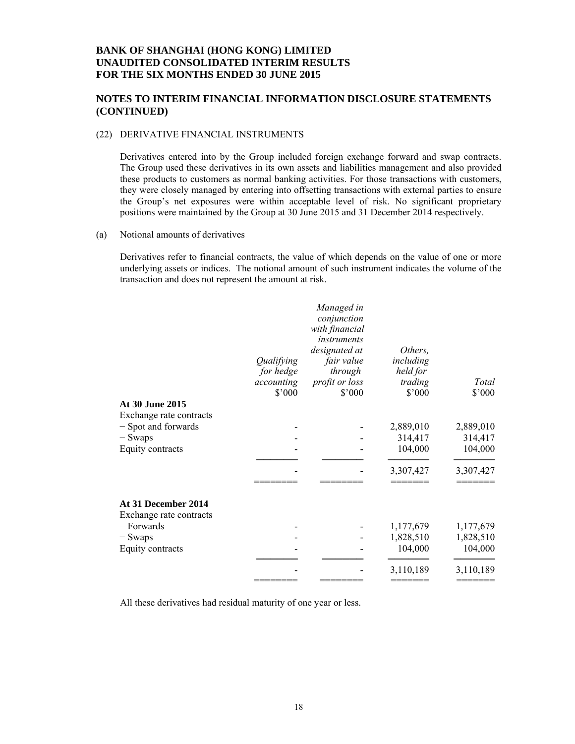#### **NOTES TO INTERIM FINANCIAL INFORMATION DISCLOSURE STATEMENTS (CONTINUED)**

#### (22) DERIVATIVE FINANCIAL INSTRUMENTS

Derivatives entered into by the Group included foreign exchange forward and swap contracts. The Group used these derivatives in its own assets and liabilities management and also provided these products to customers as normal banking activities. For those transactions with customers, they were closely managed by entering into offsetting transactions with external parties to ensure the Group's net exposures were within acceptable level of risk. No significant proprietary positions were maintained by the Group at 30 June 2015 and 31 December 2014 respectively.

(a) Notional amounts of derivatives

Derivatives refer to financial contracts, the value of which depends on the value of one or more underlying assets or indices. The notional amount of such instrument indicates the volume of the transaction and does not represent the amount at risk.

|                         | Qualifying<br>for hedge<br>accounting<br>\$'000 | Managed in<br>conjunction<br>with financial<br>instruments<br>designated at<br>fair value<br>through<br>profit or loss<br>\$'000 | Others,<br>including<br>held for<br>trading<br>\$'000 | Total<br>\$'000 |
|-------------------------|-------------------------------------------------|----------------------------------------------------------------------------------------------------------------------------------|-------------------------------------------------------|-----------------|
| At 30 June 2015         |                                                 |                                                                                                                                  |                                                       |                 |
| Exchange rate contracts |                                                 |                                                                                                                                  |                                                       |                 |
| - Spot and forwards     |                                                 |                                                                                                                                  | 2,889,010                                             | 2,889,010       |
| $-$ Swaps               |                                                 |                                                                                                                                  | 314,417                                               | 314,417         |
| Equity contracts        |                                                 |                                                                                                                                  | 104,000                                               | 104,000         |
|                         |                                                 |                                                                                                                                  | 3,307,427                                             | 3,307,427       |
|                         |                                                 |                                                                                                                                  |                                                       |                 |
| At 31 December 2014     |                                                 |                                                                                                                                  |                                                       |                 |
| Exchange rate contracts |                                                 |                                                                                                                                  |                                                       |                 |
| $-$ Forwards            |                                                 |                                                                                                                                  | 1,177,679                                             | 1,177,679       |
| $-$ Swaps               |                                                 |                                                                                                                                  | 1,828,510                                             | 1,828,510       |
| Equity contracts        |                                                 |                                                                                                                                  | 104,000                                               | 104,000         |
|                         |                                                 |                                                                                                                                  | 3,110,189                                             | 3,110,189       |
|                         |                                                 |                                                                                                                                  |                                                       |                 |

All these derivatives had residual maturity of one year or less.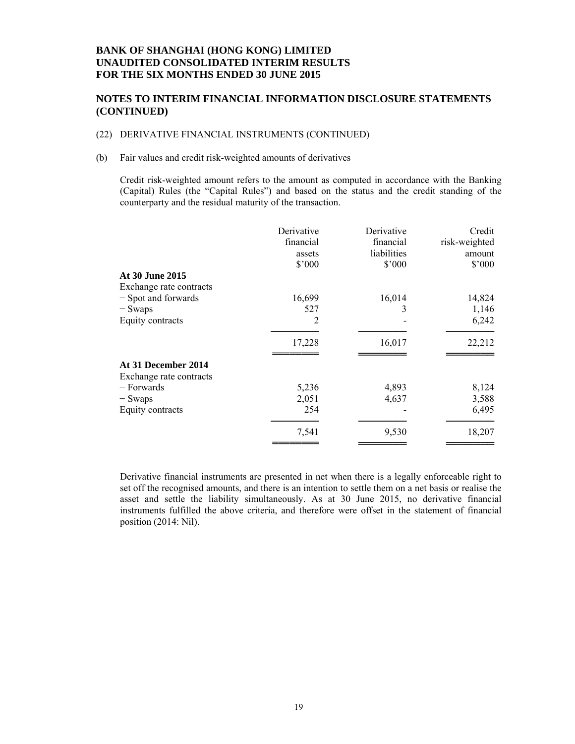#### **NOTES TO INTERIM FINANCIAL INFORMATION DISCLOSURE STATEMENTS (CONTINUED)**

#### (22) DERIVATIVE FINANCIAL INSTRUMENTS (CONTINUED)

#### (b) Fair values and credit risk-weighted amounts of derivatives

Credit risk-weighted amount refers to the amount as computed in accordance with the Banking (Capital) Rules (the "Capital Rules") and based on the status and the credit standing of the counterparty and the residual maturity of the transaction.

|                         | Derivative<br>financial<br>assets<br>\$'000 | Derivative<br>financial<br>liabilities<br>$$^{\circ}000$ | Credit<br>risk-weighted<br>amount<br>$$^{\circ}000$ |
|-------------------------|---------------------------------------------|----------------------------------------------------------|-----------------------------------------------------|
| At 30 June 2015         |                                             |                                                          |                                                     |
| Exchange rate contracts |                                             |                                                          |                                                     |
| - Spot and forwards     | 16,699                                      | 16,014                                                   | 14,824                                              |
| - Swaps                 | 527                                         | 3                                                        | 1,146                                               |
| Equity contracts        | 2                                           |                                                          | 6,242                                               |
|                         | 17,228                                      | 16,017                                                   | 22,212                                              |
| At 31 December 2014     |                                             |                                                          |                                                     |
| Exchange rate contracts |                                             |                                                          |                                                     |
| – Forwards              | 5,236                                       | 4,893                                                    | 8,124                                               |
| $-$ Swaps               | 2,051                                       | 4,637                                                    | 3,588                                               |
| Equity contracts        | 254                                         |                                                          | 6,495                                               |
|                         | 7,541                                       | 9,530                                                    | 18,207                                              |
|                         |                                             |                                                          |                                                     |

Derivative financial instruments are presented in net when there is a legally enforceable right to set off the recognised amounts, and there is an intention to settle them on a net basis or realise the asset and settle the liability simultaneously. As at 30 June 2015, no derivative financial instruments fulfilled the above criteria, and therefore were offset in the statement of financial position (2014: Nil).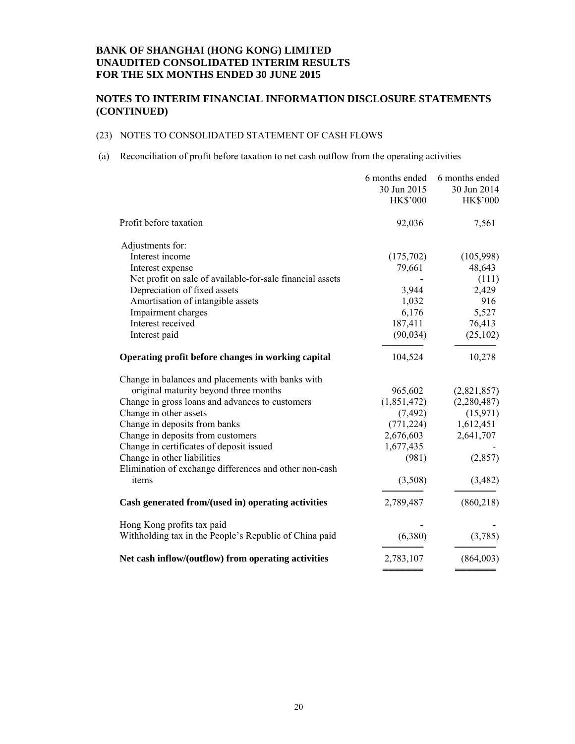### **NOTES TO INTERIM FINANCIAL INFORMATION DISCLOSURE STATEMENTS (CONTINUED)**

#### (23) NOTES TO CONSOLIDATED STATEMENT OF CASH FLOWS

#### (a) Reconciliation of profit before taxation to net cash outflow from the operating activities

|                                                           | 6 months ended  | 6 months ended  |
|-----------------------------------------------------------|-----------------|-----------------|
|                                                           | 30 Jun 2015     | 30 Jun 2014     |
|                                                           | <b>HK\$'000</b> | <b>HK\$'000</b> |
| Profit before taxation                                    | 92,036          | 7,561           |
| Adjustments for:                                          |                 |                 |
| Interest income                                           | (175,702)       | (105,998)       |
| Interest expense                                          | 79,661          | 48,643          |
| Net profit on sale of available-for-sale financial assets |                 | (111)           |
| Depreciation of fixed assets                              | 3,944           | 2,429           |
| Amortisation of intangible assets                         | 1,032           | 916             |
| Impairment charges                                        | 6,176           | 5,527           |
| Interest received                                         | 187,411         | 76,413          |
| Interest paid                                             | (90, 034)       | (25,102)        |
| Operating profit before changes in working capital        | 104,524         | 10,278          |
| Change in balances and placements with banks with         |                 |                 |
| original maturity beyond three months                     | 965,602         | (2,821,857)     |
| Change in gross loans and advances to customers           | (1,851,472)     | (2,280,487)     |
| Change in other assets                                    | (7, 492)        | (15, 971)       |
| Change in deposits from banks                             | (771, 224)      | 1,612,451       |
| Change in deposits from customers                         | 2,676,603       | 2,641,707       |
| Change in certificates of deposit issued                  | 1,677,435       |                 |
| Change in other liabilities                               | (981)           | (2, 857)        |
| Elimination of exchange differences and other non-cash    |                 |                 |
| items                                                     | (3,508)         | (3,482)         |
| Cash generated from/(used in) operating activities        | 2,789,487       | (860, 218)      |
| Hong Kong profits tax paid                                |                 |                 |
| Withholding tax in the People's Republic of China paid    | (6,380)         | (3,785)         |
| Net cash inflow/(outflow) from operating activities       | 2,783,107       | (864,003)       |
|                                                           |                 |                 |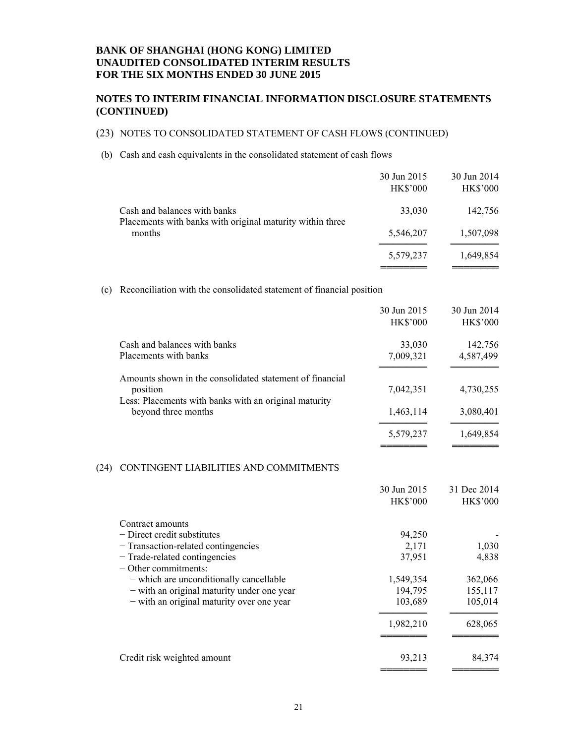#### **NOTES TO INTERIM FINANCIAL INFORMATION DISCLOSURE STATEMENTS (CONTINUED)**

#### (23) NOTES TO CONSOLIDATED STATEMENT OF CASH FLOWS (CONTINUED)

(b) Cash and cash equivalents in the consolidated statement of cash flows

|                                                                                           | 30 Jun 2015<br><b>HK\$'000</b> | 30 Jun 2014<br><b>HK\$'000</b> |
|-------------------------------------------------------------------------------------------|--------------------------------|--------------------------------|
| Cash and balances with banks<br>Placements with banks with original maturity within three | 33,030                         | 142,756                        |
| months                                                                                    | 5,546,207                      | 1,507,098                      |
|                                                                                           | 5,579,237                      | 1,649,854                      |

════════════════════════════

(c) Reconciliation with the consolidated statement of financial position

|                                                                      | 30 Jun 2015<br><b>HK\$'000</b>                                                                                                                                                                                  | 30 Jun 2014<br><b>HK\$'000</b> |
|----------------------------------------------------------------------|-----------------------------------------------------------------------------------------------------------------------------------------------------------------------------------------------------------------|--------------------------------|
| Cash and balances with banks                                         | 33,030                                                                                                                                                                                                          | 142,756                        |
|                                                                      |                                                                                                                                                                                                                 | 4,587,499                      |
| Amounts shown in the consolidated statement of financial<br>position | 7,042,351                                                                                                                                                                                                       | 4,730,255                      |
| beyond three months                                                  | 1,463,114                                                                                                                                                                                                       | 3,080,401                      |
|                                                                      | 5,579,237                                                                                                                                                                                                       | 1,649,854                      |
| CONTINGENT LIABILITIES AND COMMITMENTS                               |                                                                                                                                                                                                                 |                                |
|                                                                      | 30 Jun 2015                                                                                                                                                                                                     | 31 Dec 2014                    |
|                                                                      | <b>HK\$'000</b>                                                                                                                                                                                                 | <b>HK\$'000</b>                |
|                                                                      |                                                                                                                                                                                                                 |                                |
| - Direct credit substitutes                                          | 94,250                                                                                                                                                                                                          |                                |
| - Transaction-related contingencies                                  | 2,171                                                                                                                                                                                                           | 1,030                          |
| $-$ Other commitments:                                               |                                                                                                                                                                                                                 | 4,838                          |
| - which are unconditionally cancellable                              | 1,549,354                                                                                                                                                                                                       | 362,066                        |
| - with an original maturity under one year                           | 194,795                                                                                                                                                                                                         | 155,117                        |
|                                                                      | 103,689                                                                                                                                                                                                         | 105,014                        |
|                                                                      | 1,982,210                                                                                                                                                                                                       | 628,065                        |
|                                                                      |                                                                                                                                                                                                                 | 84,374                         |
|                                                                      | Placements with banks<br>Less: Placements with banks with an original maturity<br>Contract amounts<br>- Trade-related contingencies<br>- with an original maturity over one year<br>Credit risk weighted amount | 7,009,321<br>37,951<br>93,213  |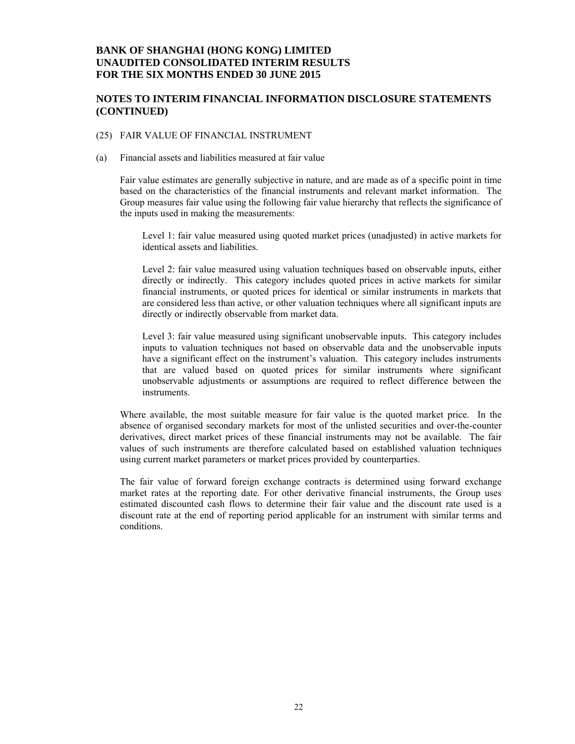#### **NOTES TO INTERIM FINANCIAL INFORMATION DISCLOSURE STATEMENTS (CONTINUED)**

#### (25) FAIR VALUE OF FINANCIAL INSTRUMENT

(a) Financial assets and liabilities measured at fair value

Fair value estimates are generally subjective in nature, and are made as of a specific point in time based on the characteristics of the financial instruments and relevant market information. The Group measures fair value using the following fair value hierarchy that reflects the significance of the inputs used in making the measurements:

Level 1: fair value measured using quoted market prices (unadjusted) in active markets for identical assets and liabilities.

Level 2: fair value measured using valuation techniques based on observable inputs, either directly or indirectly. This category includes quoted prices in active markets for similar financial instruments, or quoted prices for identical or similar instruments in markets that are considered less than active, or other valuation techniques where all significant inputs are directly or indirectly observable from market data.

Level 3: fair value measured using significant unobservable inputs. This category includes inputs to valuation techniques not based on observable data and the unobservable inputs have a significant effect on the instrument's valuation. This category includes instruments that are valued based on quoted prices for similar instruments where significant unobservable adjustments or assumptions are required to reflect difference between the instruments.

Where available, the most suitable measure for fair value is the quoted market price. In the absence of organised secondary markets for most of the unlisted securities and over-the-counter derivatives, direct market prices of these financial instruments may not be available. The fair values of such instruments are therefore calculated based on established valuation techniques using current market parameters or market prices provided by counterparties.

The fair value of forward foreign exchange contracts is determined using forward exchange market rates at the reporting date. For other derivative financial instruments, the Group uses estimated discounted cash flows to determine their fair value and the discount rate used is a discount rate at the end of reporting period applicable for an instrument with similar terms and conditions.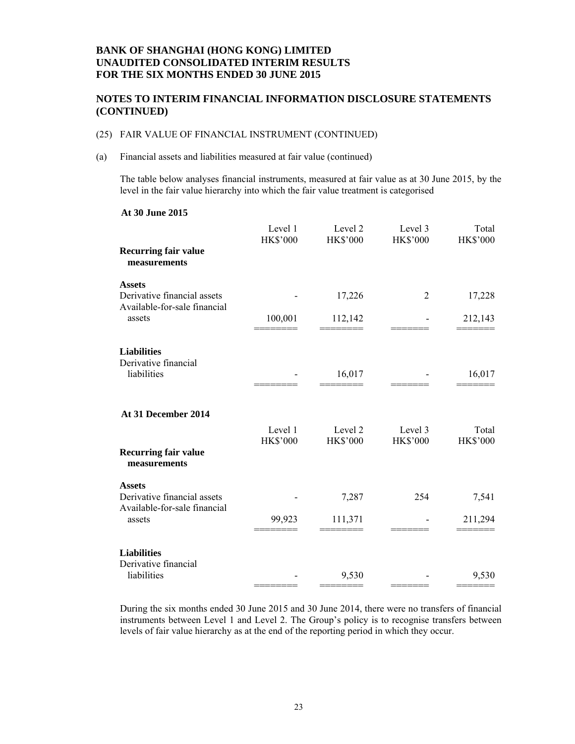#### **NOTES TO INTERIM FINANCIAL INFORMATION DISCLOSURE STATEMENTS (CONTINUED)**

#### (25) FAIR VALUE OF FINANCIAL INSTRUMENT (CONTINUED)

#### (a) Financial assets and liabilities measured at fair value (continued)

The table below analyses financial instruments, measured at fair value as at 30 June 2015, by the level in the fair value hierarchy into which the fair value treatment is categorised

#### **At 30 June 2015**

|                                              | Level 1<br><b>HK\$'000</b> | Level 2<br><b>HK\$'000</b> | Level 3<br><b>HK\$'000</b> | Total<br><b>HK\$'000</b> |
|----------------------------------------------|----------------------------|----------------------------|----------------------------|--------------------------|
| <b>Recurring fair value</b><br>measurements  |                            |                            |                            |                          |
| <b>Assets</b><br>Derivative financial assets |                            |                            |                            |                          |
| Available-for-sale financial                 |                            | 17,226                     | $\overline{2}$             | 17,228                   |
| assets                                       | 100,001                    | 112,142                    |                            | 212,143                  |
| <b>Liabilities</b>                           |                            |                            |                            |                          |
| Derivative financial<br>liabilities          |                            |                            |                            |                          |
|                                              |                            | 16,017                     |                            | 16,017                   |
| At 31 December 2014                          |                            |                            |                            |                          |
|                                              | Level 1                    | Level 2                    | Level 3                    | Total                    |
| <b>Recurring fair value</b><br>measurements  | <b>HK\$'000</b>            | <b>HK\$'000</b>            | <b>HK\$'000</b>            | <b>HK\$'000</b>          |
| <b>Assets</b>                                |                            |                            |                            |                          |
| Derivative financial assets                  |                            | 7,287                      | 254                        | 7,541                    |
| Available-for-sale financial<br>assets       | 99,923                     | 111,371                    |                            | 211,294                  |
| <b>Liabilities</b>                           |                            |                            |                            |                          |
| Derivative financial                         |                            |                            |                            |                          |
| liabilities                                  |                            | 9,530                      |                            | 9,530                    |

During the six months ended 30 June 2015 and 30 June 2014, there were no transfers of financial instruments between Level 1 and Level 2. The Group's policy is to recognise transfers between levels of fair value hierarchy as at the end of the reporting period in which they occur.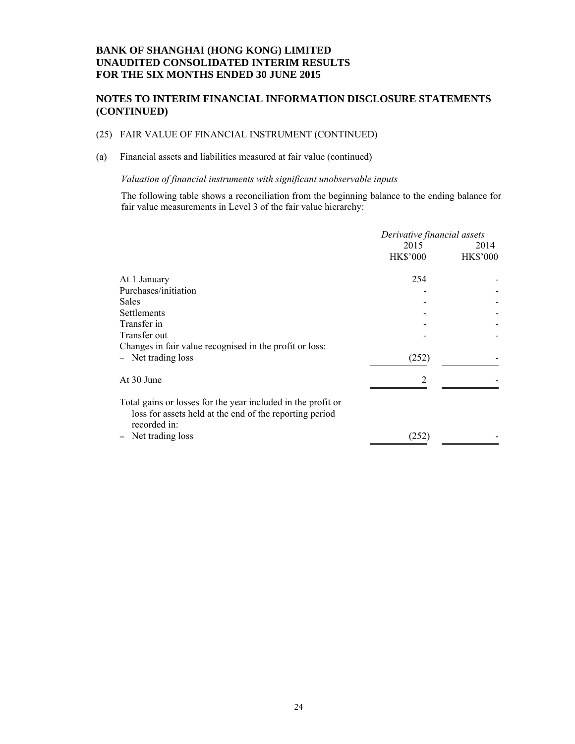### **NOTES TO INTERIM FINANCIAL INFORMATION DISCLOSURE STATEMENTS (CONTINUED)**

#### (25) FAIR VALUE OF FINANCIAL INSTRUMENT (CONTINUED)

#### (a) Financial assets and liabilities measured at fair value (continued)

*Valuation of financial instruments with significant unobservable inputs* 

The following table shows a reconciliation from the beginning balance to the ending balance for fair value measurements in Level 3 of the fair value hierarchy:

|                                                                                                                                         | Derivative financial assets |                 |
|-----------------------------------------------------------------------------------------------------------------------------------------|-----------------------------|-----------------|
|                                                                                                                                         | 2015                        | 2014            |
|                                                                                                                                         | <b>HK\$'000</b>             | <b>HK\$'000</b> |
| At 1 January                                                                                                                            | 254                         |                 |
| Purchases/initiation                                                                                                                    |                             |                 |
| <b>Sales</b>                                                                                                                            |                             |                 |
| Settlements                                                                                                                             |                             |                 |
| Transfer in                                                                                                                             |                             |                 |
| Transfer out                                                                                                                            |                             |                 |
| Changes in fair value recognised in the profit or loss:                                                                                 |                             |                 |
| - Net trading loss                                                                                                                      | (252)                       |                 |
| At 30 June                                                                                                                              | っ                           |                 |
| Total gains or losses for the year included in the profit or<br>loss for assets held at the end of the reporting period<br>recorded in: |                             |                 |
| Net trading loss                                                                                                                        | (252)                       |                 |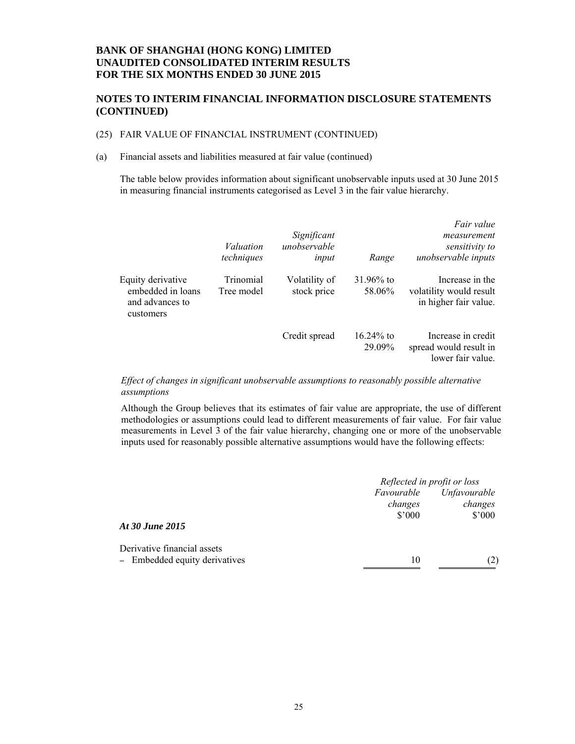### **NOTES TO INTERIM FINANCIAL INFORMATION DISCLOSURE STATEMENTS (CONTINUED)**

#### (25) FAIR VALUE OF FINANCIAL INSTRUMENT (CONTINUED)

#### (a) Financial assets and liabilities measured at fair value (continued)

The table below provides information about significant unobservable inputs used at 30 June 2015 in measuring financial instruments categorised as Level 3 in the fair value hierarchy.

|                                                                        | Valuation<br>techniques | Significant<br>unobservable<br>input | Range                  | Fair value<br>measurement<br>sensitivity to<br>unobservable inputs  |
|------------------------------------------------------------------------|-------------------------|--------------------------------------|------------------------|---------------------------------------------------------------------|
| Equity derivative<br>embedded in loans<br>and advances to<br>customers | Trinomial<br>Tree model | Volatility of<br>stock price         | $31.96\%$ to<br>58.06% | Increase in the<br>volatility would result<br>in higher fair value. |
|                                                                        |                         | Credit spread                        | $16.24\%$ to<br>29.09% | Increase in credit<br>spread would result in<br>lower fair value.   |

#### *Effect of changes in significant unobservable assumptions to reasonably possible alternative assumptions*

Although the Group believes that its estimates of fair value are appropriate, the use of different methodologies or assumptions could lead to different measurements of fair value. For fair value measurements in Level 3 of the fair value hierarchy, changing one or more of the unobservable inputs used for reasonably possible alternative assumptions would have the following effects:

|                                                              | Reflected in profit or loss |                         |
|--------------------------------------------------------------|-----------------------------|-------------------------|
|                                                              | Favourable<br>changes       | Unfavourable<br>changes |
| At 30 June 2015                                              | $$^{\prime}000$             | $$^{\prime}000$         |
| Derivative financial assets<br>- Embedded equity derivatives | 10                          | (2)                     |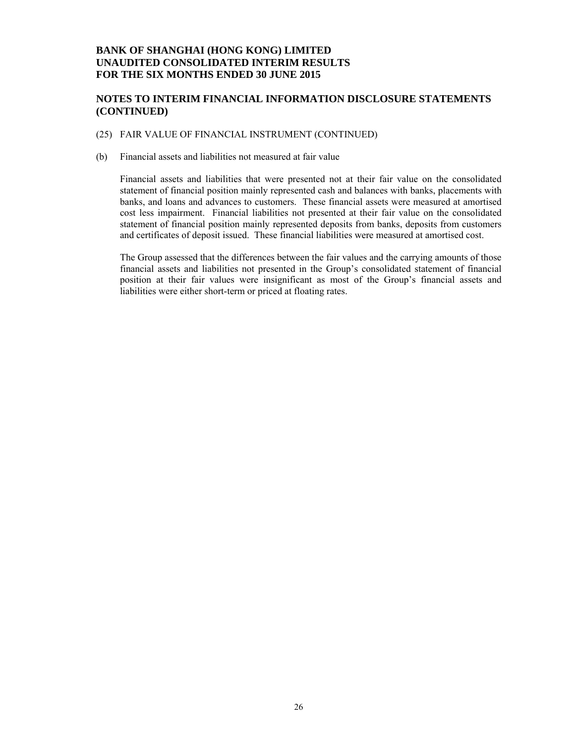#### **NOTES TO INTERIM FINANCIAL INFORMATION DISCLOSURE STATEMENTS (CONTINUED)**

#### (25) FAIR VALUE OF FINANCIAL INSTRUMENT (CONTINUED)

(b) Financial assets and liabilities not measured at fair value

Financial assets and liabilities that were presented not at their fair value on the consolidated statement of financial position mainly represented cash and balances with banks, placements with banks, and loans and advances to customers. These financial assets were measured at amortised cost less impairment. Financial liabilities not presented at their fair value on the consolidated statement of financial position mainly represented deposits from banks, deposits from customers and certificates of deposit issued. These financial liabilities were measured at amortised cost.

The Group assessed that the differences between the fair values and the carrying amounts of those financial assets and liabilities not presented in the Group's consolidated statement of financial position at their fair values were insignificant as most of the Group's financial assets and liabilities were either short-term or priced at floating rates.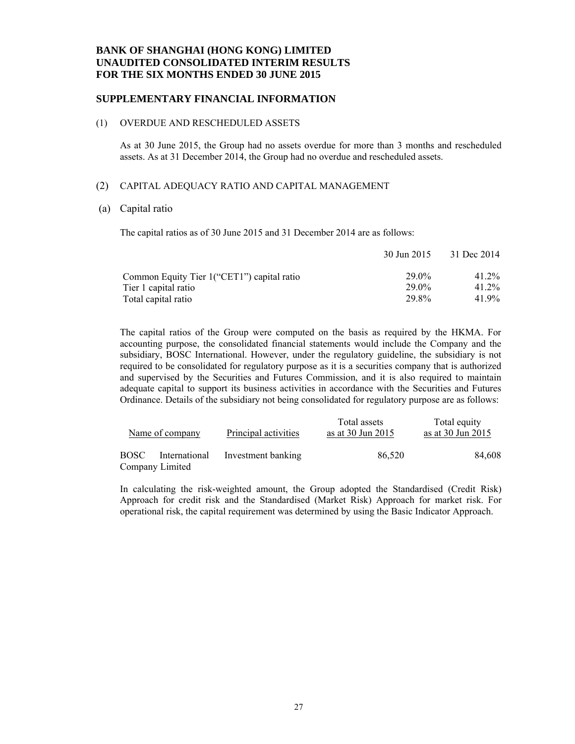#### **SUPPLEMENTARY FINANCIAL INFORMATION**

#### (1) OVERDUE AND RESCHEDULED ASSETS

As at 30 June 2015, the Group had no assets overdue for more than 3 months and rescheduled assets. As at 31 December 2014, the Group had no overdue and rescheduled assets.

#### (2) CAPITAL ADEQUACY RATIO AND CAPITAL MANAGEMENT

#### (a) Capital ratio

The capital ratios as of 30 June 2015 and 31 December 2014 are as follows:

|                                                                     | 30 Jun 2015    | 31 Dec 2014          |
|---------------------------------------------------------------------|----------------|----------------------|
| Common Equity Tier 1 ("CET1") capital ratio<br>Tier 1 capital ratio | 29.0%<br>29.0% | $41.2\%$<br>$41.2\%$ |
| Total capital ratio                                                 | 29.8%          | 41.9%                |

The capital ratios of the Group were computed on the basis as required by the HKMA. For accounting purpose, the consolidated financial statements would include the Company and the subsidiary, BOSC International. However, under the regulatory guideline, the subsidiary is not required to be consolidated for regulatory purpose as it is a securities company that is authorized and supervised by the Securities and Futures Commission, and it is also required to maintain adequate capital to support its business activities in accordance with the Securities and Futures Ordinance. Details of the subsidiary not being consolidated for regulatory purpose are as follows:

| Name of company                |               | Principal activities | Total assets<br>as at 30 Jun 2015 | Total equity<br>as at 30 Jun 2015 |
|--------------------------------|---------------|----------------------|-----------------------------------|-----------------------------------|
| <b>BOSC</b><br>Company Limited | International | Investment banking   | 86.520                            | 84,608                            |

In calculating the risk-weighted amount, the Group adopted the Standardised (Credit Risk) Approach for credit risk and the Standardised (Market Risk) Approach for market risk. For operational risk, the capital requirement was determined by using the Basic Indicator Approach.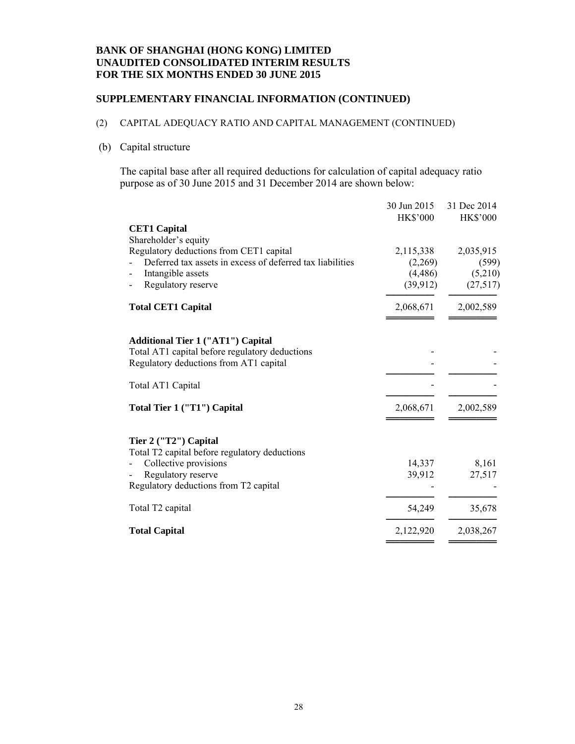### **SUPPLEMENTARY FINANCIAL INFORMATION (CONTINUED)**

#### (2) CAPITAL ADEQUACY RATIO AND CAPITAL MANAGEMENT (CONTINUED)

### (b) Capital structure

The capital base after all required deductions for calculation of capital adequacy ratio purpose as of 30 June 2015 and 31 December 2014 are shown below:

|                                                           | 30 Jun 2015     | 31 Dec 2014     |
|-----------------------------------------------------------|-----------------|-----------------|
|                                                           | <b>HK\$'000</b> | <b>HK\$'000</b> |
| <b>CET1 Capital</b>                                       |                 |                 |
| Shareholder's equity                                      |                 |                 |
| Regulatory deductions from CET1 capital                   | 2,115,338       | 2,035,915       |
| Deferred tax assets in excess of deferred tax liabilities | (2,269)         | (599)           |
| Intangible assets                                         | (4, 486)        | (5,210)         |
| Regulatory reserve                                        | (39, 912)       | (27,517)        |
| <b>Total CET1 Capital</b>                                 | 2,068,671       | 2,002,589       |
|                                                           |                 |                 |
| <b>Additional Tier 1 ("AT1") Capital</b>                  |                 |                 |
| Total AT1 capital before regulatory deductions            |                 |                 |
| Regulatory deductions from AT1 capital                    |                 |                 |
| Total AT1 Capital                                         |                 |                 |
| Total Tier 1 ("T1") Capital                               | 2,068,671       | 2,002,589       |
|                                                           |                 |                 |
| Tier 2 ("T2") Capital                                     |                 |                 |
| Total T2 capital before regulatory deductions             |                 |                 |
| Collective provisions                                     | 14,337          | 8,161           |
| Regulatory reserve                                        | 39,912          | 27,517          |
| Regulatory deductions from T2 capital                     |                 |                 |
| Total T <sub>2</sub> capital                              | 54,249          | 35,678          |
| <b>Total Capital</b>                                      | 2,122,920       | 2,038,267       |
|                                                           |                 |                 |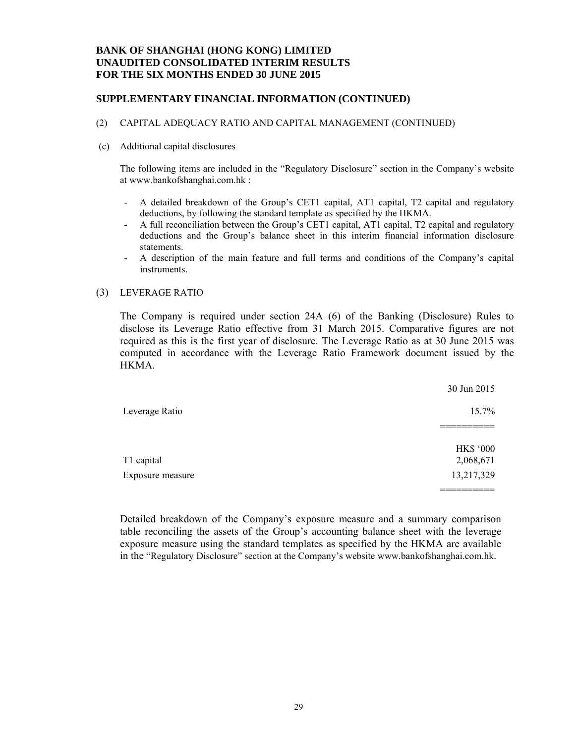#### **SUPPLEMENTARY FINANCIAL INFORMATION (CONTINUED)**

#### (2) CAPITAL ADEQUACY RATIO AND CAPITAL MANAGEMENT (CONTINUED)

(c) Additional capital disclosures

The following items are included in the "Regulatory Disclosure" section in the Company's website at www.bankofshanghai.com.hk :

- A detailed breakdown of the Group's CET1 capital, AT1 capital, T2 capital and regulatory deductions, by following the standard template as specified by the HKMA.
- A full reconciliation between the Group's CET1 capital, AT1 capital, T2 capital and regulatory deductions and the Group's balance sheet in this interim financial information disclosure statements.
- A description of the main feature and full terms and conditions of the Company's capital instruments.

#### (3) LEVERAGE RATIO

The Company is required under section 24A (6) of the Banking (Disclosure) Rules to disclose its Leverage Ratio effective from 31 March 2015. Comparative figures are not required as this is the first year of disclosure. The Leverage Ratio as at 30 June 2015 was computed in accordance with the Leverage Ratio Framework document issued by the **HKMA** 

|                  | 30 Jun 2015      |
|------------------|------------------|
| Leverage Ratio   | 15.7%            |
|                  |                  |
|                  | <b>HK\$ '000</b> |
| T1 capital       | 2,068,671        |
| Exposure measure | 13,217,329       |
|                  |                  |

Detailed breakdown of the Company's exposure measure and a summary comparison table reconciling the assets of the Group's accounting balance sheet with the leverage exposure measure using the standard templates as specified by the HKMA are available in the "Regulatory Disclosure" section at the Company's website www.bankofshanghai.com.hk.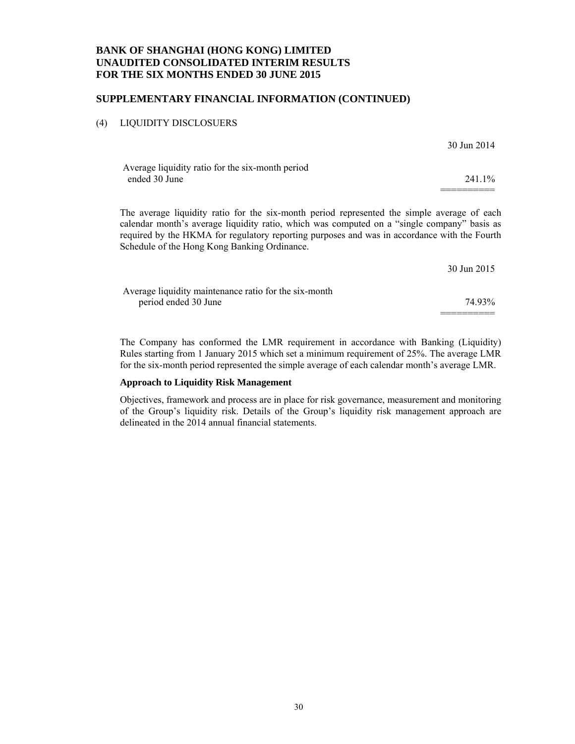#### **SUPPLEMENTARY FINANCIAL INFORMATION (CONTINUED)**

#### (4) LIQUIDITY DISCLOSUERS

|                                                                                                                                                                                                                                                                                                                                            | 30 Jun 2014 |
|--------------------------------------------------------------------------------------------------------------------------------------------------------------------------------------------------------------------------------------------------------------------------------------------------------------------------------------------|-------------|
| Average liquidity ratio for the six-month period<br>ended 30 June                                                                                                                                                                                                                                                                          | 241 1\%     |
| The average liquidity ratio for the six-month period represented the simple average of each<br>calendar month's average liquidity ratio, which was computed on a "single company" basis as<br>required by the HKMA for regulatory reporting purposes and was in accordance with the Fourth<br>Schedule of the Hong Kong Banking Ordinance. |             |
|                                                                                                                                                                                                                                                                                                                                            | 30 Jun 2015 |
| Average liquidity maintenance ratio for the six-month<br>period ended 30 June                                                                                                                                                                                                                                                              | 74 93%      |

The Company has conformed the LMR requirement in accordance with Banking (Liquidity) Rules starting from 1 January 2015 which set a minimum requirement of 25%. The average LMR for the six-month period represented the simple average of each calendar month's average LMR.

#### **Approach to Liquidity Risk Management**

Objectives, framework and process are in place for risk governance, measurement and monitoring of the Group's liquidity risk. Details of the Group's liquidity risk management approach are delineated in the 2014 annual financial statements.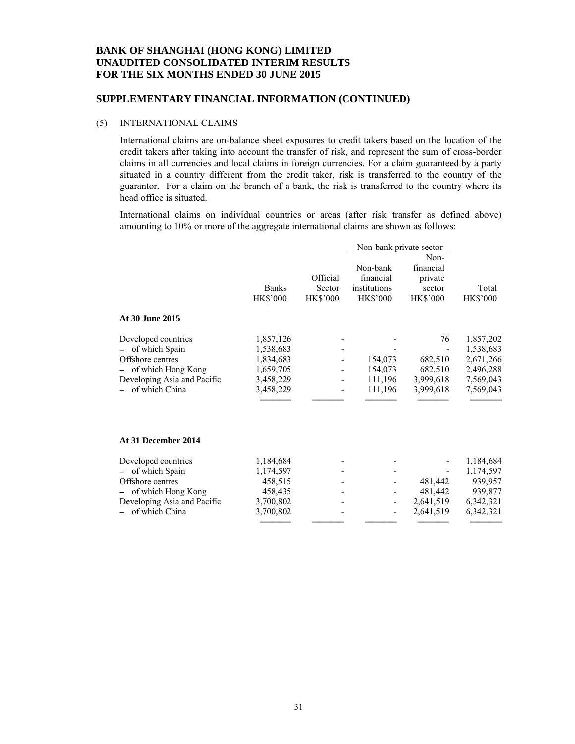#### **SUPPLEMENTARY FINANCIAL INFORMATION (CONTINUED)**

#### (5) INTERNATIONAL CLAIMS

International claims are on-balance sheet exposures to credit takers based on the location of the credit takers after taking into account the transfer of risk, and represent the sum of cross-border claims in all currencies and local claims in foreign currencies. For a claim guaranteed by a party situated in a country different from the credit taker, risk is transferred to the country of the guarantor. For a claim on the branch of a bank, the risk is transferred to the country where its head office is situated.

International claims on individual countries or areas (after risk transfer as defined above) amounting to 10% or more of the aggregate international claims are shown as follows:

|                             | Non-bank private sector |                 |                 |                 |                 |
|-----------------------------|-------------------------|-----------------|-----------------|-----------------|-----------------|
|                             |                         |                 |                 | Non-            |                 |
|                             |                         |                 | Non-bank        | financial       |                 |
|                             |                         | Official        | financial       | private         |                 |
|                             | <b>Banks</b>            | Sector          | institutions    | sector          | Total           |
|                             | <b>HK\$'000</b>         | <b>HK\$'000</b> | <b>HK\$'000</b> | <b>HK\$'000</b> | <b>HK\$'000</b> |
| At 30 June 2015             |                         |                 |                 |                 |                 |
| Developed countries         | 1,857,126               |                 |                 | 76              | 1,857,202       |
| of which Spain              | 1,538,683               |                 |                 |                 | 1,538,683       |
| Offshore centres            | 1,834,683               |                 | 154,073         | 682,510         | 2,671,266       |
| of which Hong Kong          | 1,659,705               |                 | 154,073         | 682,510         | 2,496,288       |
| Developing Asia and Pacific | 3,458,229               |                 | 111,196         | 3,999,618       | 7,569,043       |
| of which China              | 3,458,229               |                 | 111,196         | 3,999,618       | 7,569,043       |
| At 31 December 2014         |                         |                 |                 |                 |                 |
| Developed countries         | 1,184,684               |                 |                 |                 | 1,184,684       |
| of which Spain              | 1,174,597               |                 |                 |                 | 1,174,597       |
| Offshore centres            | 458,515                 |                 |                 | 481,442         | 939,957         |
| of which Hong Kong          | 458,435                 |                 |                 | 481,442         | 939,877         |
| Developing Asia and Pacific | 3,700,802               |                 |                 | 2,641,519       | 6, 342, 321     |
| of which China              | 3,700,802               |                 |                 | 2,641,519       | 6,342,321       |
|                             |                         |                 |                 |                 |                 |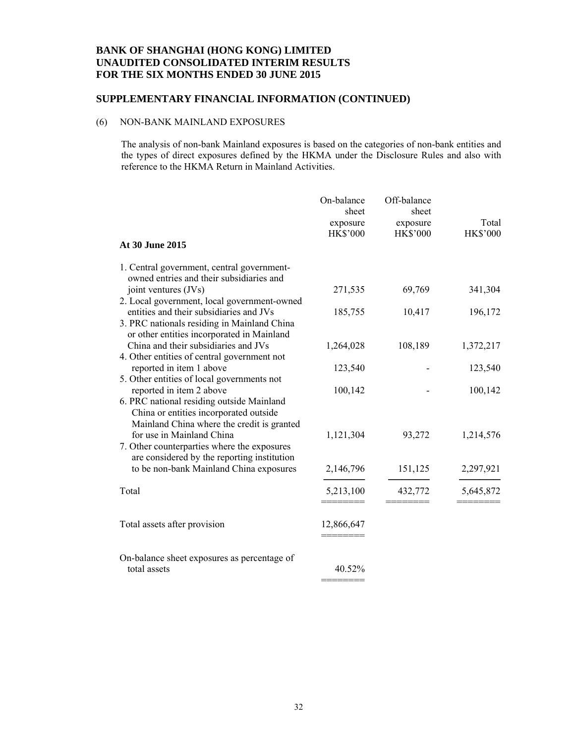### **SUPPLEMENTARY FINANCIAL INFORMATION (CONTINUED)**

### (6) NON-BANK MAINLAND EXPOSURES

The analysis of non-bank Mainland exposures is based on the categories of non-bank entities and the types of direct exposures defined by the HKMA under the Disclosure Rules and also with reference to the HKMA Return in Mainland Activities.

|                                                                                                                                                               | On-balance<br>sheet<br>exposure | Off-balance<br>sheet<br>exposure | Total     |
|---------------------------------------------------------------------------------------------------------------------------------------------------------------|---------------------------------|----------------------------------|-----------|
| At 30 June 2015                                                                                                                                               | <b>HK\$'000</b>                 | <b>HK\$'000</b>                  | HK\$'000  |
| 1. Central government, central government-<br>owned entries and their subsidiaries and                                                                        |                                 |                                  |           |
| joint ventures (JVs)<br>2. Local government, local government-owned                                                                                           | 271,535                         | 69,769                           | 341,304   |
| entities and their subsidiaries and JVs<br>3. PRC nationals residing in Mainland China<br>or other entities incorporated in Mainland                          | 185,755                         | 10,417                           | 196,172   |
| China and their subsidiaries and JVs                                                                                                                          | 1,264,028                       | 108,189                          | 1,372,217 |
| 4. Other entities of central government not<br>reported in item 1 above                                                                                       | 123,540                         |                                  | 123,540   |
| 5. Other entities of local governments not<br>reported in item 2 above<br>6. PRC national residing outside Mainland<br>China or entities incorporated outside | 100,142                         |                                  | 100,142   |
| Mainland China where the credit is granted<br>for use in Mainland China<br>7. Other counterparties where the exposures                                        | 1,121,304                       | 93,272                           | 1,214,576 |
| are considered by the reporting institution<br>to be non-bank Mainland China exposures                                                                        | 2,146,796                       | 151,125                          | 2,297,921 |
| Total                                                                                                                                                         | 5,213,100                       | 432,772                          | 5,645,872 |
| Total assets after provision                                                                                                                                  | 12,866,647                      |                                  |           |
| On-balance sheet exposures as percentage of<br>total assets                                                                                                   | 40.52%                          |                                  |           |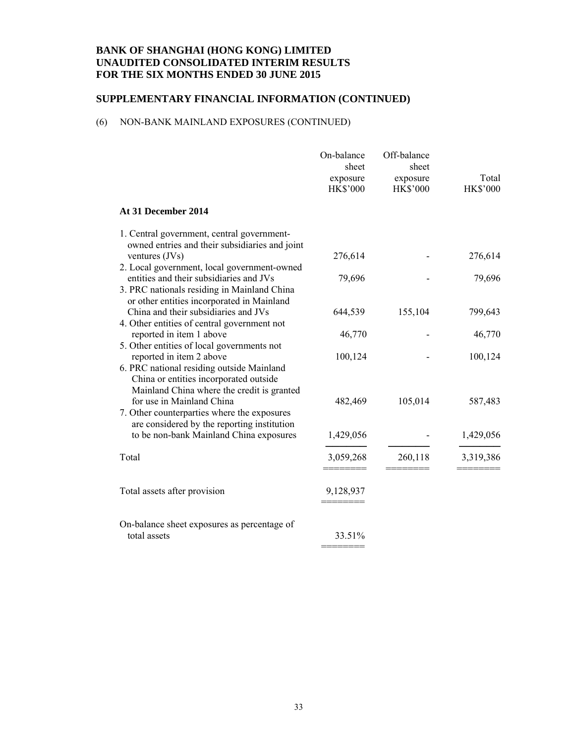# **SUPPLEMENTARY FINANCIAL INFORMATION (CONTINUED)**

#### (6) NON-BANK MAINLAND EXPOSURES (CONTINUED)

|                                                                                                                                                                       | On-balance<br>sheet<br>exposure<br><b>HK\$'000</b> | Off-balance<br>sheet<br>exposure<br><b>HK\$'000</b> | Total<br><b>HK\$'000</b> |
|-----------------------------------------------------------------------------------------------------------------------------------------------------------------------|----------------------------------------------------|-----------------------------------------------------|--------------------------|
| At 31 December 2014                                                                                                                                                   |                                                    |                                                     |                          |
| 1. Central government, central government-<br>owned entries and their subsidiaries and joint<br>ventures (JVs)                                                        | 276,614                                            |                                                     | 276,614                  |
| 2. Local government, local government-owned<br>entities and their subsidiaries and JVs<br>3. PRC nationals residing in Mainland China                                 | 79,696                                             |                                                     | 79,696                   |
| or other entities incorporated in Mainland<br>China and their subsidiaries and JVs<br>4. Other entities of central government not                                     | 644,539                                            | 155,104                                             | 799,643                  |
| reported in item 1 above<br>5. Other entities of local governments not                                                                                                | 46,770                                             |                                                     | 46,770                   |
| reported in item 2 above<br>6. PRC national residing outside Mainland<br>China or entities incorporated outside                                                       | 100,124                                            |                                                     | 100,124                  |
| Mainland China where the credit is granted<br>for use in Mainland China<br>7. Other counterparties where the exposures<br>are considered by the reporting institution | 482,469                                            | 105,014                                             | 587,483                  |
| to be non-bank Mainland China exposures                                                                                                                               | 1,429,056                                          |                                                     | 1,429,056                |
| Total                                                                                                                                                                 | 3,059,268<br>=======                               | 260,118<br>========                                 | 3,319,386<br>=======     |
| Total assets after provision                                                                                                                                          | 9,128,937                                          |                                                     |                          |
| On-balance sheet exposures as percentage of<br>total assets                                                                                                           | 33.51%                                             |                                                     |                          |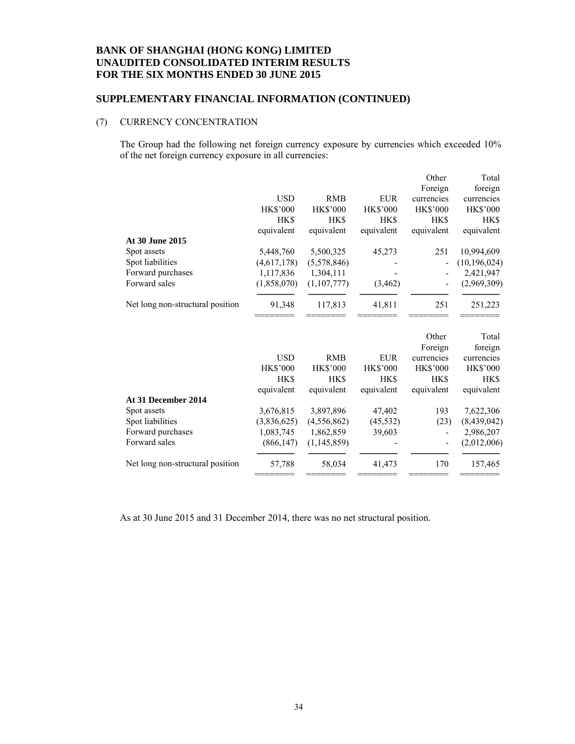### **SUPPLEMENTARY FINANCIAL INFORMATION (CONTINUED)**

#### (7) CURRENCY CONCENTRATION

The Group had the following net foreign currency exposure by currencies which exceeded 10% of the net foreign currency exposure in all currencies:

|                                  |                 |                 |                 | Other                         | Total                   |
|----------------------------------|-----------------|-----------------|-----------------|-------------------------------|-------------------------|
|                                  |                 |                 |                 | Foreign                       | foreign                 |
|                                  | <b>USD</b>      | <b>RMB</b>      | <b>EUR</b>      | currencies                    | currencies              |
|                                  | <b>HK\$'000</b> | <b>HK\$'000</b> | <b>HK\$'000</b> | <b>HK\$'000</b>               | <b>HK\$'000</b>         |
|                                  | <b>HKS</b>      | <b>HKS</b>      | <b>HKS</b>      | <b>HKS</b>                    | HK\$                    |
|                                  | equivalent      | equivalent      | equivalent      | equivalent                    | equivalent              |
| At 30 June 2015                  |                 |                 |                 |                               |                         |
| Spot assets                      | 5,448,760       | 5,500,325       | 45,273          | 251                           | 10,994,609              |
| Spot liabilities                 | (4,617,178)     | (5,578,846)     |                 |                               | (10, 196, 024)          |
| Forward purchases                | 1,117,836       | 1,304,111       |                 |                               | 2,421,947               |
| Forward sales                    | (1,858,070)     | (1, 107, 777)   | (3, 462)        |                               | (2,969,309)             |
| Net long non-structural position | 91,348          | 117,813         | 41,811          | 251                           | 251,223                 |
|                                  |                 |                 |                 |                               |                         |
|                                  |                 |                 |                 |                               |                         |
|                                  |                 |                 |                 | Other                         | Total                   |
|                                  |                 |                 |                 | Foreign                       | foreign                 |
|                                  | <b>USD</b>      | <b>RMB</b>      | <b>EUR</b>      | currencies                    | currencies              |
|                                  | <b>HK\$'000</b> | <b>HK\$'000</b> | <b>HK\$'000</b> |                               |                         |
|                                  | <b>HKS</b>      | <b>HKS</b>      | HK\$            | <b>HK\$'000</b><br><b>HKS</b> | <b>HK\$'000</b><br>HK\$ |
|                                  |                 |                 |                 |                               |                         |
| At 31 December 2014              | equivalent      | equivalent      | equivalent      | equivalent                    | equivalent              |
| Spot assets                      | 3,676,815       | 3,897,896       | 47,402          | 193                           | 7,622,306               |
| Spot liabilities                 | (3,836,625)     | (4, 556, 862)   | (45, 532)       | (23)                          | (8,439,042)             |
| Forward purchases                | 1,083,745       | 1,862,859       | 39,603          |                               | 2,986,207               |
| Forward sales                    | (866, 147)      | (1, 145, 859)   |                 |                               | (2,012,006)             |
| Net long non-structural position | 57,788          | 58,034          | 41,473          | 170                           | 157,465                 |

As at 30 June 2015 and 31 December 2014, there was no net structural position.